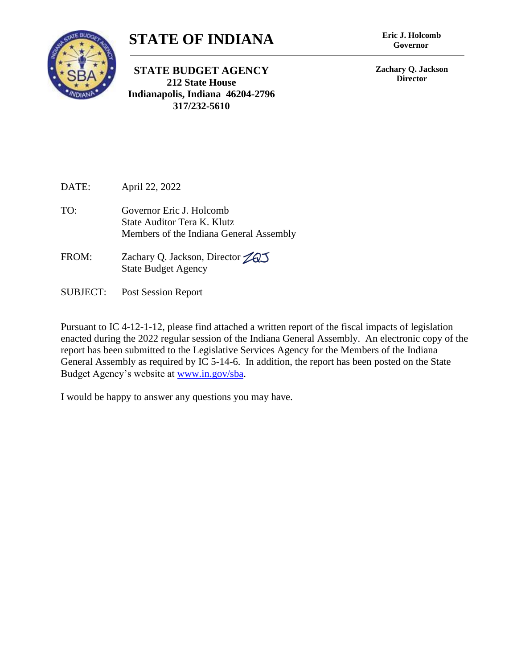

## **STATE OF INDIANA**

**STATE BUDGET AGENCY 212 State House Indianapolis, Indiana 46204-2796 317/232-5610**

**Governor**

**Zachary Q. Jackson Director**

DATE: April 22, 2022

- TO: Governor Eric J. Holcomb State Auditor Tera K. Klutz Members of the Indiana General Assembly
- FROM: Zachary Q. Jackson, Director 2003 State Budget Agency
- SUBJECT: Post Session Report

Pursuant to IC 4-12-1-12, please find attached a written report of the fiscal impacts of legislation enacted during the 2022 regular session of the Indiana General Assembly. An electronic copy of the report has been submitted to the Legislative Services Agency for the Members of the Indiana General Assembly as required by IC 5-14-6. In addition, the report has been posted on the State Budget Agency's website at [www.in.gov/sba.](http://www.in.gov/sba)

I would be happy to answer any questions you may have.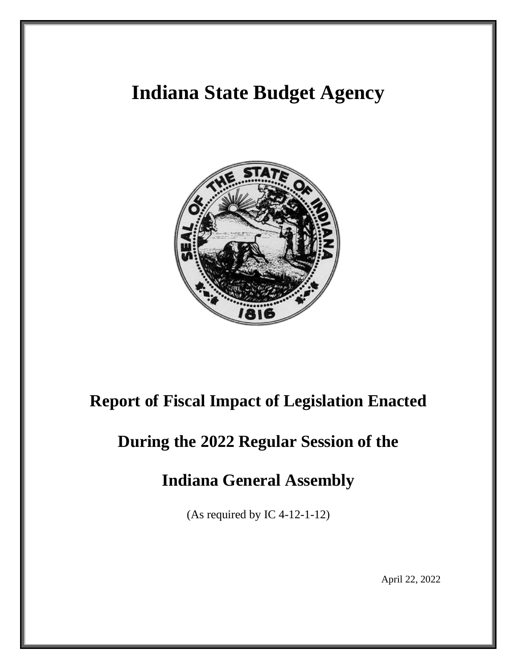# **Indiana State Budget Agency**



## **Report of Fiscal Impact of Legislation Enacted**

# **During the 2022 Regular Session of the**

## **Indiana General Assembly**

(As required by IC 4-12-1-12)

April 22, 2022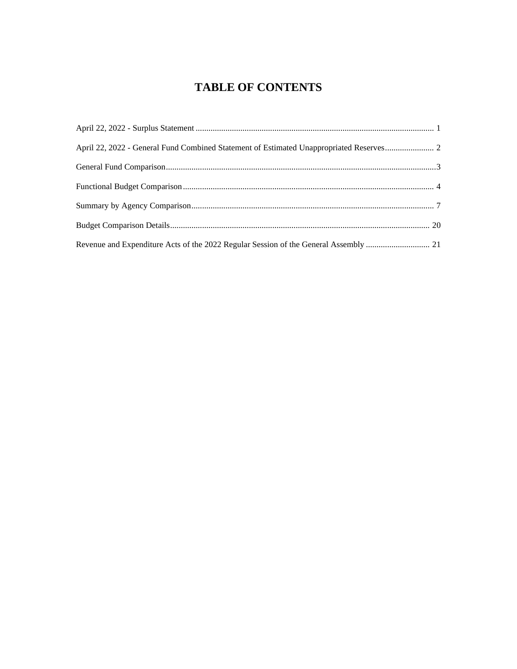### **TABLE OF CONTENTS**

| April 22, 2022 - General Fund Combined Statement of Estimated Unappropriated Reserves |  |
|---------------------------------------------------------------------------------------|--|
|                                                                                       |  |
|                                                                                       |  |
|                                                                                       |  |
|                                                                                       |  |
|                                                                                       |  |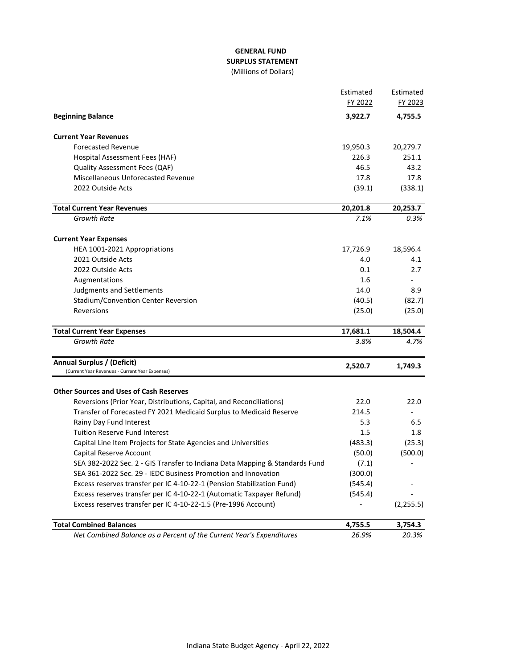#### **GENERAL FUND SURPLUS STATEMENT** (Millions of Dollars)

|                                                                             | Estimated | Estimated  |
|-----------------------------------------------------------------------------|-----------|------------|
|                                                                             | FY 2022   | FY 2023    |
| <b>Beginning Balance</b>                                                    | 3,922.7   | 4,755.5    |
| <b>Current Year Revenues</b>                                                |           |            |
| <b>Forecasted Revenue</b>                                                   | 19,950.3  | 20,279.7   |
| Hospital Assessment Fees (HAF)                                              | 226.3     | 251.1      |
| Quality Assessment Fees (QAF)                                               | 46.5      | 43.2       |
| Miscellaneous Unforecasted Revenue                                          | 17.8      | 17.8       |
| 2022 Outside Acts                                                           | (39.1)    | (338.1)    |
| <b>Total Current Year Revenues</b>                                          | 20,201.8  | 20,253.7   |
| Growth Rate                                                                 | 7.1%      | 0.3%       |
| <b>Current Year Expenses</b>                                                |           |            |
| HEA 1001-2021 Appropriations                                                | 17,726.9  | 18,596.4   |
| 2021 Outside Acts                                                           | 4.0       | 4.1        |
| 2022 Outside Acts                                                           | 0.1       | 2.7        |
| Augmentations                                                               | 1.6       |            |
| Judgments and Settlements                                                   | 14.0      | 8.9        |
| Stadium/Convention Center Reversion                                         | (40.5)    | (82.7)     |
| Reversions                                                                  | (25.0)    | (25.0)     |
| <b>Total Current Year Expenses</b>                                          | 17,681.1  | 18,504.4   |
| Growth Rate                                                                 | 3.8%      | 4.7%       |
| Annual Surplus / (Deficit)                                                  | 2,520.7   | 1,749.3    |
| (Current Year Revenues - Current Year Expenses)                             |           |            |
| <b>Other Sources and Uses of Cash Reserves</b>                              |           |            |
| Reversions (Prior Year, Distributions, Capital, and Reconciliations)        | 22.0      | 22.0       |
| Transfer of Forecasted FY 2021 Medicaid Surplus to Medicaid Reserve         | 214.5     |            |
| Rainy Day Fund Interest                                                     | 5.3       | 6.5        |
| <b>Tuition Reserve Fund Interest</b>                                        | 1.5       | 1.8        |
| Capital Line Item Projects for State Agencies and Universities              | (483.3)   | (25.3)     |
| Capital Reserve Account                                                     | (50.0)    | (500.0)    |
| SEA 382-2022 Sec. 2 - GIS Transfer to Indiana Data Mapping & Standards Fund | (7.1)     |            |
| SEA 361-2022 Sec. 29 - IEDC Business Promotion and Innovation               | (300.0)   |            |
| Excess reserves transfer per IC 4-10-22-1 (Pension Stabilization Fund)      | (545.4)   |            |
| Excess reserves transfer per IC 4-10-22-1 (Automatic Taxpayer Refund)       | (545.4)   |            |
| Excess reserves transfer per IC 4-10-22-1.5 (Pre-1996 Account)              |           | (2, 255.5) |
| <b>Total Combined Balances</b>                                              | 4,755.5   | 3,754.3    |
| Net Combined Balance as a Percent of the Current Year's Expenditures        | 26.9%     | 20.3%      |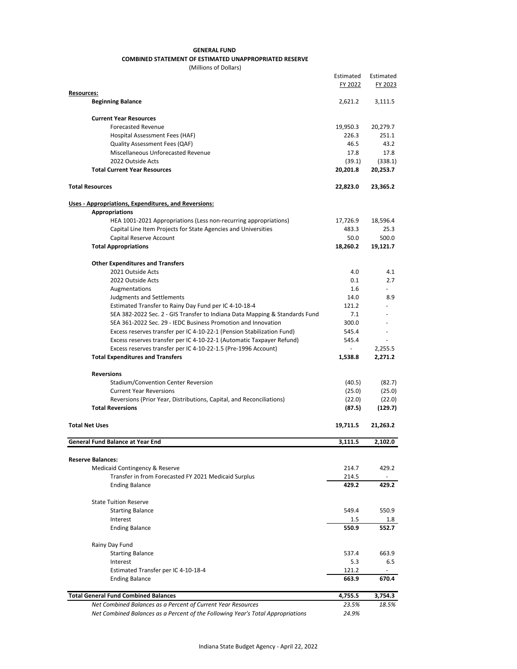#### **GENERAL FUND COMBINED STATEMENT OF ESTIMATED UNAPPROPRIATED RESERVE**

(Millions of Dollars)

|                                                                                                                                         | Estimated<br>FY 2022 | Estimated<br>FY 2023 |
|-----------------------------------------------------------------------------------------------------------------------------------------|----------------------|----------------------|
| Resources:                                                                                                                              |                      |                      |
| <b>Beginning Balance</b>                                                                                                                | 2,621.2              | 3,111.5              |
| <b>Current Year Resources</b>                                                                                                           |                      |                      |
| <b>Forecasted Revenue</b>                                                                                                               | 19,950.3             | 20,279.7             |
| Hospital Assessment Fees (HAF)                                                                                                          | 226.3                | 251.1                |
| Quality Assessment Fees (QAF)                                                                                                           | 46.5                 | 43.2                 |
| Miscellaneous Unforecasted Revenue                                                                                                      | 17.8                 | 17.8                 |
| 2022 Outside Acts                                                                                                                       | (39.1)               | (338.1)              |
| <b>Total Current Year Resources</b>                                                                                                     | 20,201.8             | 20,253.7             |
| <b>Total Resources</b>                                                                                                                  | 22,823.0             | 23,365.2             |
| Uses - Appropriations, Expenditures, and Reversions:                                                                                    |                      |                      |
| <b>Appropriations</b>                                                                                                                   |                      |                      |
| HEA 1001-2021 Appropriations (Less non-recurring appropriations)                                                                        | 17,726.9             | 18,596.4             |
| Capital Line Item Projects for State Agencies and Universities                                                                          | 483.3                | 25.3                 |
| Capital Reserve Account                                                                                                                 | 50.0                 | 500.0                |
| <b>Total Appropriations</b>                                                                                                             | 18,260.2             | 19,121.7             |
| <b>Other Expenditures and Transfers</b>                                                                                                 |                      |                      |
| 2021 Outside Acts                                                                                                                       | 4.0                  | 4.1                  |
| 2022 Outside Acts                                                                                                                       | 0.1                  | 2.7                  |
| Augmentations                                                                                                                           | 1.6                  |                      |
| <b>Judgments and Settlements</b>                                                                                                        | 14.0                 | 8.9                  |
| Estimated Transfer to Rainy Day Fund per IC 4-10-18-4                                                                                   | 121.2                |                      |
| SEA 382-2022 Sec. 2 - GIS Transfer to Indiana Data Mapping & Standards Fund                                                             | 7.1                  |                      |
| SEA 361-2022 Sec. 29 - IEDC Business Promotion and Innovation                                                                           | 300.0                |                      |
| Excess reserves transfer per IC 4-10-22-1 (Pension Stabilization Fund)                                                                  | 545.4<br>545.4       |                      |
| Excess reserves transfer per IC 4-10-22-1 (Automatic Taxpayer Refund)<br>Excess reserves transfer per IC 4-10-22-1.5 (Pre-1996 Account) | $\sim$               | 2,255.5              |
| <b>Total Expenditures and Transfers</b>                                                                                                 | 1,538.8              | 2,271.2              |
| <b>Reversions</b>                                                                                                                       |                      |                      |
| <b>Stadium/Convention Center Reversion</b>                                                                                              | (40.5)               | (82.7)               |
| <b>Current Year Reversions</b>                                                                                                          | (25.0)               | (25.0)               |
| Reversions (Prior Year, Distributions, Capital, and Reconciliations)                                                                    | (22.0)               | (22.0)               |
| <b>Total Reversions</b>                                                                                                                 | (87.5)               | (129.7)              |
| <b>Total Net Uses</b>                                                                                                                   | 19,711.5             | 21,263.2             |
| <b>General Fund Balance at Year End</b>                                                                                                 | 3,111.5              | 2,102.0              |
| <b>Reserve Balances:</b>                                                                                                                |                      |                      |
| Medicaid Contingency & Reserve                                                                                                          | 214.7                | 429.2                |
| Transfer in from Forecasted FY 2021 Medicaid Surplus                                                                                    | 214.5                |                      |
| <b>Ending Balance</b>                                                                                                                   | 429.2                | 429.2                |
| <b>State Tuition Reserve</b>                                                                                                            |                      |                      |
| <b>Starting Balance</b>                                                                                                                 | 549.4                | 550.9                |
| Interest                                                                                                                                | 1.5                  | 1.8                  |
| <b>Ending Balance</b>                                                                                                                   | 550.9                | 552.7                |
| Rainy Day Fund                                                                                                                          |                      |                      |
| <b>Starting Balance</b>                                                                                                                 | 537.4                | 663.9                |
| Interest                                                                                                                                | 5.3                  | 6.5                  |
| Estimated Transfer per IC 4-10-18-4                                                                                                     | 121.2                |                      |
| <b>Ending Balance</b>                                                                                                                   | 663.9                | 670.4                |
| <b>Total General Fund Combined Balances</b>                                                                                             | 4,755.5              | 3,754.3              |
| Net Combined Balances as a Percent of Current Year Resources                                                                            | 23.5%                | 18.5%                |
| Net Combined Balances as a Percent of the Following Year's Total Appropriations                                                         | 24.9%                |                      |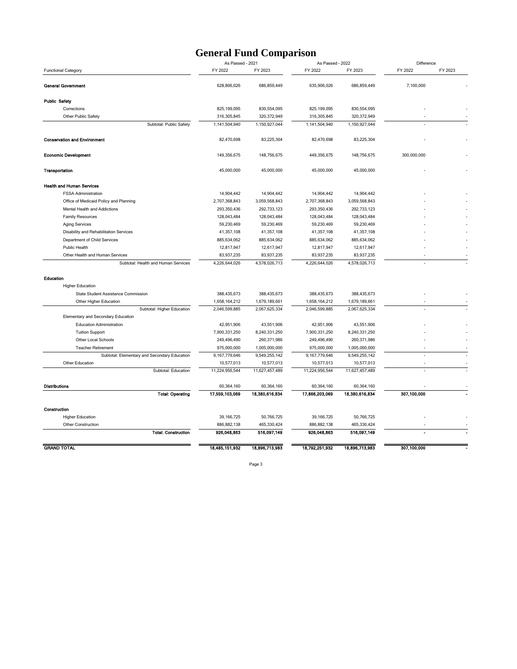#### **General Fund Comparison**

|                                              | As Passed - 2021 |                | As Passed - 2022 |                | Difference  |         |
|----------------------------------------------|------------------|----------------|------------------|----------------|-------------|---------|
| <b>Functional Category</b>                   | FY 2022          | FY 2023        | FY 2022          | FY 2023        | FY 2022     | FY 2023 |
| <b>General Government</b>                    | 628,806,026      | 686,859,449    | 635,906,026      | 686,859,449    | 7,100,000   |         |
| <b>Public Safety</b>                         |                  |                |                  |                |             |         |
| Corrections                                  | 825,199,095      | 830,554,095    | 825, 199, 095    | 830,554,095    |             |         |
| Other Public Safety                          | 316,305,845      | 320,372,949    | 316, 305, 845    | 320,372,949    |             |         |
| Subtotal: Public Safety                      | 1,141,504,940    | 1,150,927,044  | 1,141,504,940    | 1,150,927,044  |             |         |
| <b>Conservation and Environment</b>          | 82,470,698       | 83,225,304     | 82,470,698       | 83,225,304     |             |         |
| <b>Economic Development</b>                  | 149,356,675      | 148,756,675    | 449,356,675      | 148,756,675    | 300,000,000 |         |
| Transportation                               | 45,000,000       | 45,000,000     | 45,000,000       | 45,000,000     |             |         |
| <b>Health and Human Services</b>             |                  |                |                  |                |             |         |
| <b>FSSA Administration</b>                   | 14,904,442       | 14,904,442     | 14,904,442       | 14,904,442     |             |         |
| Office of Medicaid Policy and Planning       | 2,707,368,843    | 3,059,568,843  | 2,707,368,843    | 3,059,568,843  |             |         |
| Mental Health and Addictions                 | 293,350,436      | 292,733,123    | 293,350,436      | 292,733,123    |             |         |
| <b>Family Resources</b>                      | 128,043,484      | 128,043,484    | 128,043,484      | 128,043,484    |             |         |
| Aging Services                               | 59,230,469       | 59,230,469     | 59,230,469       | 59,230,469     |             |         |
| Disability and Rehabilitation Services       | 41,357,108       | 41,357,108     | 41,357,108       | 41,357,108     |             |         |
| Department of Child Services                 | 885,634,062      | 885,634,062    | 885,634,062      | 885,634,062    |             |         |
| Public Health                                | 12,817,947       | 12,617,947     | 12,817,947       | 12,617,947     |             |         |
| Other Health and Human Services              | 83,937,235       | 83,937,235     | 83,937,235       | 83,937,235     |             |         |
| Subtotal: Health and Human Services          | 4,226,644,026    | 4,578,026,713  | 4,226,644,026    | 4,578,026,713  |             |         |
| Education                                    |                  |                |                  |                |             |         |
| <b>Higher Education</b>                      |                  |                |                  |                |             |         |
| State Student Assistance Commission          | 388,435,673      | 388,435,673    | 388,435,673      | 388,435,673    |             |         |
| Other Higher Education                       | 1,658,164,212    | 1,679,189,661  | 1,658,164,212    | 1,679,189,661  |             |         |
| Subtotal: Higher Education                   | 2,046,599,885    | 2,067,625,334  | 2,046,599,885    | 2,067,625,334  |             |         |
| Elementary and Secondary Education           |                  |                |                  |                |             |         |
| <b>Education Administration</b>              | 42,951,906       | 43,551,906     | 42,951,906       | 43,551,906     |             |         |
| <b>Tuition Support</b>                       | 7,900,331,250    | 8,240,331,250  | 7,900,331,250    | 8,240,331,250  |             |         |
| Other Local Schools                          | 249,496,490      | 260,371,986    | 249,496,490      | 260,371,986    |             |         |
| <b>Teacher Retirement</b>                    | 975,000,000      | 1,005,000,000  | 975,000,000      | 1,005,000,000  |             |         |
| Subtotal: Elementary and Secondary Education | 9,167,779,646    | 9,549,255,142  | 9, 167, 779, 646 | 9,549,255,142  |             |         |
| Other Education                              | 10,577,013       | 10,577,013     | 10,577,013       | 10,577,013     |             |         |
| Subtotal: Education                          | 11,224,956,544   | 11,627,457,489 | 11,224,956,544   | 11,627,457,489 |             |         |
| <b>Distributions</b>                         | 60,364,160       | 60,364,160     | 60,364,160       | 60,364,160     |             |         |
| <b>Total: Operating</b>                      | 17,559,103.069   | 18,380,616,834 | 17,866,203,069   | 18,380,616.834 | 307,100,000 |         |
| Construction                                 |                  |                |                  |                |             |         |
| <b>Higher Education</b>                      | 39, 166, 725     | 50,766,725     | 39, 166, 725     | 50,766,725     |             |         |
| Other Construction                           | 886, 882, 138    | 465,330,424    | 886, 882, 138    | 465,330,424    |             |         |
| <b>Total: Construction</b>                   | 926.048.863      | 516.097.149    | 926.048.863      | 516.097.149    |             |         |
| <b>GRAND TOTAL</b>                           | 18,485,151,932   | 18,896,713,983 | 18.792.251.932   | 18,896,713,983 | 307,100,000 |         |
|                                              |                  |                |                  |                |             |         |

Page 3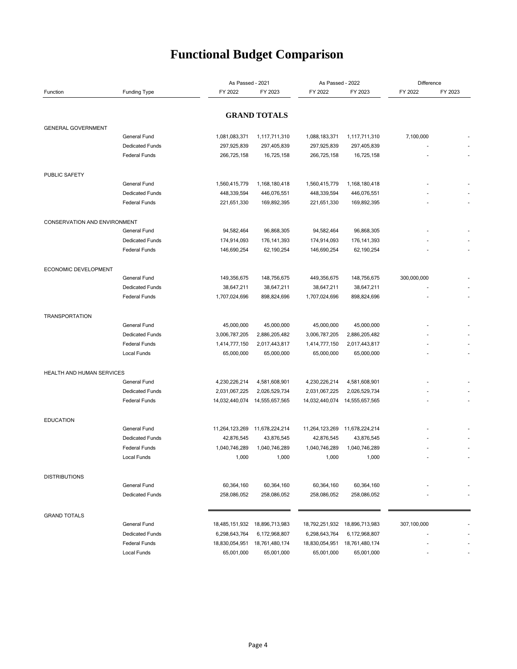## **Functional Budget Comparison**

| As Passed - 2021             |                                        |                              | As Passed - 2022             |                              | Difference                   |             |         |
|------------------------------|----------------------------------------|------------------------------|------------------------------|------------------------------|------------------------------|-------------|---------|
| Function                     | <b>Funding Type</b>                    | FY 2022                      | FY 2023                      | FY 2022                      | FY 2023                      | FY 2022     | FY 2023 |
|                              |                                        |                              |                              |                              |                              |             |         |
|                              |                                        |                              | <b>GRAND TOTALS</b>          |                              |                              |             |         |
| <b>GENERAL GOVERNMENT</b>    |                                        |                              |                              |                              |                              |             |         |
|                              | General Fund                           | 1,081,083,371                | 1,117,711,310                | 1,088,183,371                | 1,117,711,310                | 7,100,000   |         |
|                              | <b>Dedicated Funds</b>                 | 297,925,839                  | 297,405,839                  | 297,925,839                  | 297,405,839                  |             |         |
|                              | <b>Federal Funds</b>                   | 266,725,158                  | 16,725,158                   | 266,725,158                  | 16,725,158                   |             |         |
| <b>PUBLIC SAFETY</b>         |                                        |                              |                              |                              |                              |             |         |
|                              | General Fund                           | 1,560,415,779                | 1,168,180,418                | 1,560,415,779                | 1,168,180,418                |             |         |
|                              | <b>Dedicated Funds</b>                 | 448,339,594                  | 446,076,551                  | 448,339,594                  | 446,076,551                  |             |         |
|                              | <b>Federal Funds</b>                   | 221,651,330                  | 169,892,395                  | 221,651,330                  | 169,892,395                  |             |         |
| CONSERVATION AND ENVIRONMENT |                                        |                              |                              |                              |                              |             |         |
|                              | General Fund                           | 94,582,464                   | 96,868,305                   | 94,582,464                   | 96,868,305                   |             |         |
|                              | <b>Dedicated Funds</b>                 | 174,914,093                  | 176, 141, 393                | 174,914,093                  | 176, 141, 393                |             |         |
|                              | <b>Federal Funds</b>                   | 146,690,254                  | 62,190,254                   | 146,690,254                  | 62,190,254                   |             |         |
| <b>ECONOMIC DEVELOPMENT</b>  |                                        |                              |                              |                              |                              |             |         |
|                              | General Fund                           | 149,356,675                  | 148,756,675                  | 449,356,675                  | 148,756,675                  | 300,000,000 |         |
|                              | <b>Dedicated Funds</b>                 | 38,647,211                   | 38,647,211                   | 38,647,211                   | 38,647,211                   |             |         |
|                              | <b>Federal Funds</b>                   | 1,707,024,696                | 898,824,696                  | 1,707,024,696                | 898,824,696                  |             |         |
| <b>TRANSPORTATION</b>        |                                        |                              |                              |                              |                              |             |         |
|                              | General Fund                           | 45,000,000                   | 45,000,000                   | 45,000,000                   | 45,000,000                   |             |         |
|                              | <b>Dedicated Funds</b>                 | 3,006,787,205                | 2,886,205,482                | 3,006,787,205                | 2,886,205,482                |             |         |
|                              | <b>Federal Funds</b>                   | 1,414,777,150                | 2,017,443,817                | 1,414,777,150                | 2,017,443,817                |             |         |
|                              | Local Funds                            | 65,000,000                   | 65,000,000                   | 65,000,000                   | 65,000,000                   |             |         |
| HEALTH AND HUMAN SERVICES    |                                        |                              |                              |                              |                              |             |         |
|                              | General Fund                           | 4,230,226,214                | 4,581,608,901                | 4,230,226,214                | 4,581,608,901                |             |         |
|                              | <b>Dedicated Funds</b>                 | 2,031,067,225                | 2,026,529,734                | 2,031,067,225                | 2,026,529,734                |             |         |
|                              | <b>Federal Funds</b>                   | 14,032,440,074               | 14,555,657,565               | 14,032,440,074               | 14,555,657,565               |             |         |
|                              |                                        |                              |                              |                              |                              |             |         |
| <b>EDUCATION</b>             | General Fund                           | 11,264,123,269               | 11,678,224,214               | 11,264,123,269               | 11,678,224,214               |             |         |
|                              | <b>Dedicated Funds</b>                 | 42,876,545                   | 43,876,545                   | 42,876,545                   | 43,876,545                   |             |         |
|                              | <b>Federal Funds</b>                   | 1,040,746,289                | 1,040,746,289                | 1,040,746,289                | 1,040,746,289                |             |         |
|                              | Local Funds                            | 1,000                        | 1,000                        | 1,000                        | 1,000                        |             |         |
|                              |                                        |                              |                              |                              |                              |             |         |
| <b>DISTRIBUTIONS</b>         | General Fund                           | 60,364,160                   | 60,364,160                   | 60,364,160                   | 60,364,160                   |             |         |
|                              | <b>Dedicated Funds</b>                 | 258,086,052                  | 258,086,052                  | 258,086,052                  | 258,086,052                  |             |         |
|                              |                                        |                              |                              |                              |                              |             |         |
| <b>GRAND TOTALS</b>          |                                        |                              |                              |                              |                              |             |         |
|                              | General Fund<br><b>Dedicated Funds</b> | 18,485,151,932               | 18,896,713,983               | 18,792,251,932               | 18,896,713,983               | 307,100,000 |         |
|                              | <b>Federal Funds</b>                   | 6,298,643,764                | 6,172,968,807                | 6,298,643,764                | 6,172,968,807                |             |         |
|                              | Local Funds                            | 18,830,054,951<br>65,001,000 | 18,761,480,174<br>65,001,000 | 18,830,054,951<br>65,001,000 | 18,761,480,174<br>65,001,000 |             |         |
|                              |                                        |                              |                              |                              |                              |             |         |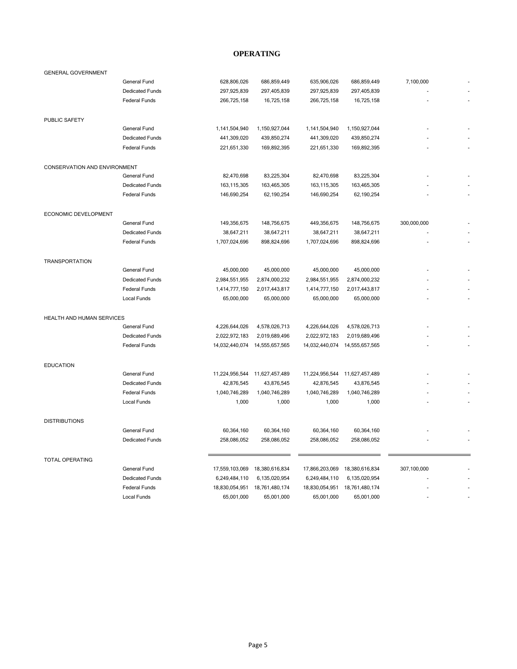#### **OPERATING**

| <b>GENERAL GOVERNMENT</b>           |                        |                |                |                |                |             |  |
|-------------------------------------|------------------------|----------------|----------------|----------------|----------------|-------------|--|
|                                     | General Fund           | 628,806,026    | 686,859,449    | 635,906,026    | 686,859,449    | 7,100,000   |  |
|                                     | <b>Dedicated Funds</b> | 297,925,839    | 297,405,839    | 297,925,839    | 297,405,839    |             |  |
|                                     | <b>Federal Funds</b>   | 266,725,158    | 16,725,158     | 266,725,158    | 16,725,158     |             |  |
| PUBLIC SAFETY                       |                        |                |                |                |                |             |  |
|                                     | General Fund           | 1,141,504,940  | 1,150,927,044  | 1,141,504,940  | 1,150,927,044  |             |  |
|                                     | <b>Dedicated Funds</b> | 441,309,020    | 439,850,274    | 441,309,020    | 439,850,274    |             |  |
|                                     | <b>Federal Funds</b>   | 221,651,330    | 169,892,395    | 221,651,330    | 169,892,395    |             |  |
| <b>CONSERVATION AND ENVIRONMENT</b> |                        |                |                |                |                |             |  |
|                                     | <b>General Fund</b>    | 82,470,698     | 83,225,304     | 82,470,698     | 83,225,304     |             |  |
|                                     | <b>Dedicated Funds</b> | 163,115,305    | 163,465,305    | 163, 115, 305  | 163,465,305    |             |  |
|                                     | <b>Federal Funds</b>   | 146,690,254    | 62,190,254     | 146,690,254    | 62,190,254     |             |  |
| ECONOMIC DEVELOPMENT                |                        |                |                |                |                |             |  |
|                                     | General Fund           | 149,356,675    | 148,756,675    | 449,356,675    | 148,756,675    | 300,000,000 |  |
|                                     | <b>Dedicated Funds</b> | 38,647,211     | 38,647,211     | 38,647,211     | 38,647,211     |             |  |
|                                     | <b>Federal Funds</b>   | 1,707,024,696  | 898,824,696    | 1,707,024,696  | 898,824,696    |             |  |
|                                     |                        |                |                |                |                |             |  |
| <b>TRANSPORTATION</b>               |                        |                |                |                |                |             |  |
|                                     | General Fund           | 45,000,000     | 45,000,000     | 45,000,000     | 45,000,000     |             |  |
|                                     | <b>Dedicated Funds</b> | 2,984,551,955  | 2,874,000,232  | 2,984,551,955  | 2,874,000,232  |             |  |
|                                     | <b>Federal Funds</b>   | 1,414,777,150  | 2,017,443,817  | 1,414,777,150  | 2,017,443,817  |             |  |
|                                     | <b>Local Funds</b>     | 65,000,000     | 65,000,000     | 65,000,000     | 65,000,000     |             |  |
| HEALTH AND HUMAN SERVICES           |                        |                |                |                |                |             |  |
|                                     | General Fund           | 4,226,644,026  | 4,578,026,713  | 4,226,644,026  | 4,578,026,713  |             |  |
|                                     | <b>Dedicated Funds</b> | 2,022,972,183  | 2,019,689,496  | 2,022,972,183  | 2,019,689,496  |             |  |
|                                     | <b>Federal Funds</b>   | 14,032,440,074 | 14,555,657,565 | 14,032,440,074 | 14,555,657,565 |             |  |
| <b>EDUCATION</b>                    |                        |                |                |                |                |             |  |
|                                     | General Fund           | 11,224,956,544 | 11,627,457,489 | 11,224,956,544 | 11,627,457,489 |             |  |
|                                     | <b>Dedicated Funds</b> | 42,876,545     | 43,876,545     | 42,876,545     | 43,876,545     |             |  |
|                                     | <b>Federal Funds</b>   | 1,040,746,289  | 1,040,746,289  | 1,040,746,289  | 1,040,746,289  |             |  |
|                                     | <b>Local Funds</b>     | 1,000          | 1,000          | 1,000          | 1,000          |             |  |
| <b>DISTRIBUTIONS</b>                |                        |                |                |                |                |             |  |
|                                     | <b>General Fund</b>    | 60,364,160     | 60,364,160     | 60,364,160     | 60,364,160     |             |  |
|                                     | <b>Dedicated Funds</b> | 258,086,052    | 258,086,052    | 258,086,052    | 258,086,052    |             |  |
| <b>TOTAL OPERATING</b>              |                        |                |                |                |                |             |  |
|                                     | General Fund           | 17,559,103,069 | 18,380,616,834 | 17,866,203,069 | 18,380,616,834 | 307,100,000 |  |
|                                     | <b>Dedicated Funds</b> | 6,249,484,110  | 6,135,020,954  | 6,249,484,110  | 6,135,020,954  |             |  |
|                                     | <b>Federal Funds</b>   | 18,830,054,951 | 18,761,480,174 | 18,830,054,951 | 18,761,480,174 |             |  |
|                                     | <b>Local Funds</b>     | 65,001,000     | 65,001,000     | 65,001,000     | 65,001,000     |             |  |
|                                     |                        |                |                |                |                |             |  |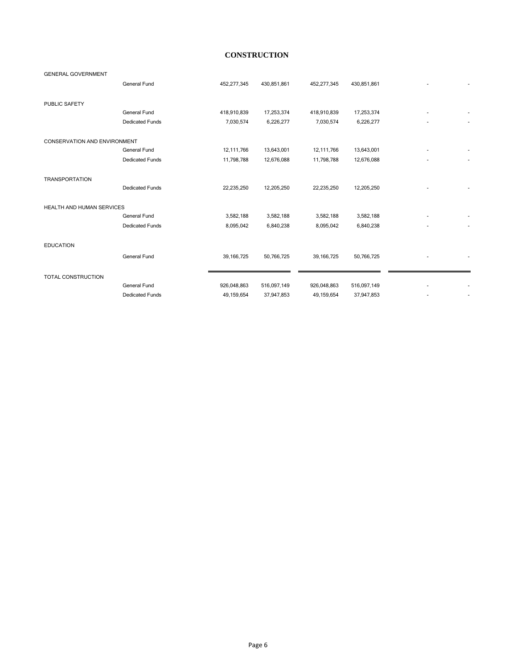#### **CONSTRUCTION**

| <b>GENERAL GOVERNMENT</b>           |                        |              |             |              |             |  |
|-------------------------------------|------------------------|--------------|-------------|--------------|-------------|--|
|                                     | General Fund           | 452,277,345  | 430,851,861 | 452,277,345  | 430,851,861 |  |
| <b>PUBLIC SAFETY</b>                |                        |              |             |              |             |  |
|                                     | General Fund           | 418,910,839  | 17,253,374  | 418,910,839  | 17,253,374  |  |
|                                     | <b>Dedicated Funds</b> | 7,030,574    | 6,226,277   | 7,030,574    | 6,226,277   |  |
| <b>CONSERVATION AND ENVIRONMENT</b> |                        |              |             |              |             |  |
|                                     | <b>General Fund</b>    | 12,111,766   | 13,643,001  | 12,111,766   | 13,643,001  |  |
|                                     | <b>Dedicated Funds</b> | 11,798,788   | 12,676,088  | 11,798,788   | 12,676,088  |  |
| <b>TRANSPORTATION</b>               |                        |              |             |              |             |  |
|                                     | <b>Dedicated Funds</b> | 22,235,250   | 12,205,250  | 22,235,250   | 12,205,250  |  |
| HEALTH AND HUMAN SERVICES           |                        |              |             |              |             |  |
|                                     | General Fund           | 3,582,188    | 3,582,188   | 3,582,188    | 3,582,188   |  |
|                                     | <b>Dedicated Funds</b> | 8,095,042    | 6,840,238   | 8,095,042    | 6,840,238   |  |
| <b>EDUCATION</b>                    |                        |              |             |              |             |  |
|                                     | General Fund           | 39, 166, 725 | 50,766,725  | 39,166,725   | 50,766,725  |  |
| <b>TOTAL CONSTRUCTION</b>           |                        |              |             |              |             |  |
|                                     | General Fund           | 926,048,863  | 516,097,149 | 926,048,863  | 516,097,149 |  |
|                                     | <b>Dedicated Funds</b> | 49,159,654   | 37,947,853  | 49, 159, 654 | 37,947,853  |  |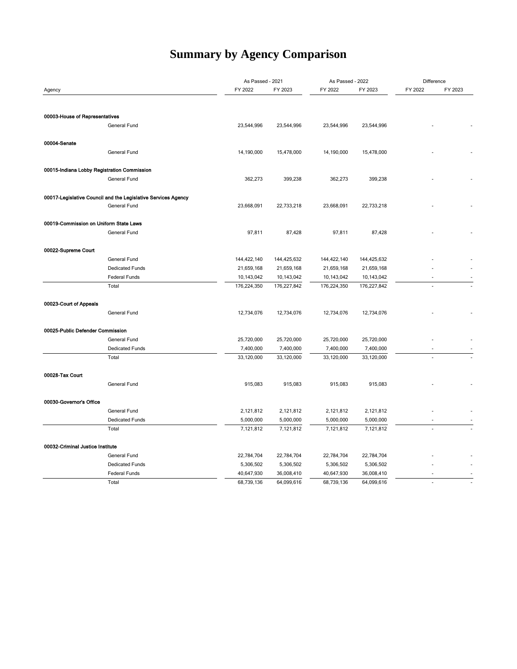## **Summary by Agency Comparison**

|                                             |                                                               | As Passed - 2021 |             | As Passed - 2022 |             | Difference               |         |
|---------------------------------------------|---------------------------------------------------------------|------------------|-------------|------------------|-------------|--------------------------|---------|
| Agency                                      |                                                               | FY 2022          | FY 2023     | FY 2022          | FY 2023     | FY 2022                  | FY 2023 |
|                                             |                                                               |                  |             |                  |             |                          |         |
|                                             |                                                               |                  |             |                  |             |                          |         |
| 00003-House of Representatives              |                                                               |                  |             |                  |             |                          |         |
|                                             | General Fund                                                  | 23,544,996       | 23,544,996  | 23,544,996       | 23,544,996  |                          |         |
|                                             |                                                               |                  |             |                  |             |                          |         |
| 00004-Senate                                |                                                               |                  |             |                  |             |                          |         |
|                                             | General Fund                                                  | 14,190,000       | 15,478,000  | 14,190,000       | 15,478,000  |                          |         |
|                                             |                                                               |                  |             |                  |             |                          |         |
| 00015-Indiana Lobby Registration Commission | General Fund                                                  |                  |             | 362,273          |             |                          |         |
|                                             |                                                               | 362,273          | 399,238     |                  | 399,238     |                          |         |
|                                             | 00017-Legislative Council and the Legislative Services Agency |                  |             |                  |             |                          |         |
|                                             | General Fund                                                  | 23,668,091       | 22,733,218  | 23,668,091       | 22,733,218  |                          |         |
|                                             |                                                               |                  |             |                  |             |                          |         |
| 00019-Commission on Uniform State Laws      |                                                               |                  |             |                  |             |                          |         |
|                                             | General Fund                                                  | 97,811           | 87,428      | 97,811           | 87,428      |                          |         |
|                                             |                                                               |                  |             |                  |             |                          |         |
| 00022-Supreme Court                         |                                                               |                  |             |                  |             |                          |         |
|                                             | General Fund                                                  | 144,422,140      | 144,425,632 | 144,422,140      | 144,425,632 |                          |         |
|                                             | <b>Dedicated Funds</b>                                        | 21,659,168       | 21,659,168  | 21,659,168       | 21,659,168  |                          |         |
|                                             | Federal Funds                                                 | 10,143,042       | 10,143,042  | 10,143,042       | 10,143,042  | ÷,                       | $\sim$  |
|                                             | Total                                                         | 176,224,350      | 176,227,842 | 176,224,350      | 176,227,842 |                          |         |
|                                             |                                                               |                  |             |                  |             |                          |         |
| 00023-Court of Appeals                      |                                                               |                  |             |                  |             |                          |         |
|                                             | General Fund                                                  | 12,734,076       | 12,734,076  | 12,734,076       | 12,734,076  |                          |         |
|                                             |                                                               |                  |             |                  |             |                          |         |
| 00025-Public Defender Commission            |                                                               |                  |             |                  |             |                          |         |
|                                             | General Fund                                                  | 25,720,000       | 25,720,000  | 25,720,000       | 25,720,000  |                          |         |
|                                             | <b>Dedicated Funds</b>                                        | 7,400,000        | 7,400,000   | 7,400,000        | 7,400,000   | $\overline{a}$           |         |
|                                             | Total                                                         | 33,120,000       | 33,120,000  | 33,120,000       | 33,120,000  |                          |         |
| 00028-Tax Court                             |                                                               |                  |             |                  |             |                          |         |
|                                             | General Fund                                                  | 915,083          | 915,083     | 915,083          | 915,083     |                          |         |
|                                             |                                                               |                  |             |                  |             |                          |         |
| 00030-Governor's Office                     |                                                               |                  |             |                  |             |                          |         |
|                                             | General Fund                                                  | 2,121,812        | 2,121,812   | 2,121,812        | 2,121,812   |                          |         |
|                                             | <b>Dedicated Funds</b>                                        | 5,000,000        | 5,000,000   | 5,000,000        | 5,000,000   |                          |         |
|                                             | Total                                                         | 7,121,812        | 7,121,812   | 7,121,812        | 7,121,812   |                          |         |
|                                             |                                                               |                  |             |                  |             |                          |         |
| 00032-Criminal Justice Institute            |                                                               |                  |             |                  |             |                          |         |
|                                             | General Fund                                                  | 22,784,704       | 22,784,704  | 22,784,704       | 22,784,704  |                          |         |
|                                             | Dedicated Funds                                               | 5,306,502        | 5,306,502   | 5,306,502        | 5,306,502   |                          |         |
|                                             | Federal Funds                                                 | 40,647,930       | 36,008,410  | 40,647,930       | 36,008,410  | $\overline{\phantom{a}}$ |         |
|                                             | Total                                                         | 68,739,136       | 64,099,616  | 68,739,136       | 64,099,616  | ÷.                       |         |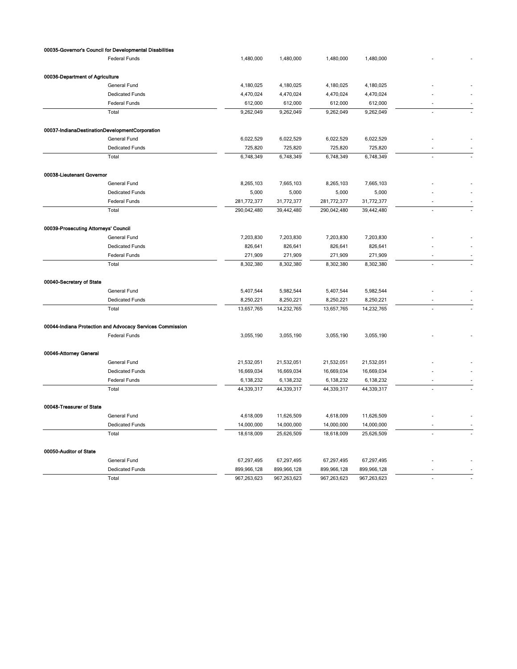|                                      | 00035-Governor's Council for Developmental Disabilities   |             |             |             |             |  |
|--------------------------------------|-----------------------------------------------------------|-------------|-------------|-------------|-------------|--|
|                                      | <b>Federal Funds</b>                                      | 1,480,000   | 1,480,000   | 1,480,000   | 1,480,000   |  |
| 00036-Department of Agriculture      |                                                           |             |             |             |             |  |
|                                      | General Fund                                              | 4,180,025   | 4,180,025   | 4,180,025   | 4,180,025   |  |
|                                      | <b>Dedicated Funds</b>                                    | 4,470,024   | 4,470,024   | 4,470,024   | 4,470,024   |  |
|                                      | Federal Funds                                             | 612,000     | 612,000     | 612,000     | 612,000     |  |
|                                      | Total                                                     | 9,262,049   | 9,262,049   | 9,262,049   | 9,262,049   |  |
|                                      | 00037-IndianaDestinationDevelopmentCorporation            |             |             |             |             |  |
|                                      | General Fund                                              | 6,022,529   | 6,022,529   | 6,022,529   | 6,022,529   |  |
|                                      | <b>Dedicated Funds</b>                                    | 725,820     | 725,820     | 725,820     | 725,820     |  |
|                                      | Total                                                     | 6,748,349   | 6,748,349   | 6,748,349   | 6,748,349   |  |
| 00038-Lieutenant Governor            |                                                           |             |             |             |             |  |
|                                      | General Fund                                              | 8,265,103   | 7,665,103   | 8,265,103   | 7,665,103   |  |
|                                      | <b>Dedicated Funds</b>                                    | 5,000       | 5,000       | 5,000       | 5,000       |  |
|                                      | Federal Funds                                             | 281,772,377 | 31,772,377  | 281,772,377 | 31,772,377  |  |
|                                      | Total                                                     | 290,042,480 | 39,442,480  | 290,042,480 | 39,442,480  |  |
| 00039-Prosecuting Attorneys' Council |                                                           |             |             |             |             |  |
|                                      | General Fund                                              | 7,203,830   | 7,203,830   | 7,203,830   | 7,203,830   |  |
|                                      | <b>Dedicated Funds</b>                                    | 826,641     | 826,641     | 826,641     | 826,641     |  |
|                                      | Federal Funds                                             | 271,909     | 271,909     | 271,909     | 271,909     |  |
|                                      | Total                                                     | 8,302,380   | 8,302,380   | 8,302,380   | 8,302,380   |  |
| 00040-Secretary of State             |                                                           |             |             |             |             |  |
|                                      | General Fund                                              | 5,407,544   | 5,982,544   | 5,407,544   | 5,982,544   |  |
|                                      | <b>Dedicated Funds</b>                                    | 8,250,221   | 8,250,221   | 8,250,221   | 8,250,221   |  |
|                                      | Total                                                     | 13,657,765  | 14,232,765  | 13,657,765  | 14,232,765  |  |
|                                      | 00044-Indiana Protection and Advocacy Services Commission |             |             |             |             |  |
|                                      | <b>Federal Funds</b>                                      | 3,055,190   | 3,055,190   | 3,055,190   | 3,055,190   |  |
| 00046-Attorney General               |                                                           |             |             |             |             |  |
|                                      | General Fund                                              | 21,532,051  | 21,532,051  | 21,532,051  | 21,532,051  |  |
|                                      | <b>Dedicated Funds</b>                                    | 16,669,034  | 16,669,034  | 16,669,034  | 16,669,034  |  |
|                                      | Federal Funds                                             | 6,138,232   | 6,138,232   | 6,138,232   | 6,138,232   |  |
|                                      | Total                                                     | 44,339,317  | 44,339,317  | 44,339,317  | 44,339,317  |  |
| 00048-Treasurer of State             |                                                           |             |             |             |             |  |
|                                      | General Fund                                              | 4,618,009   | 11,626,509  | 4,618,009   | 11,626,509  |  |
|                                      | <b>Dedicated Funds</b>                                    | 14,000,000  | 14,000,000  | 14,000,000  | 14,000,000  |  |
|                                      | Total                                                     | 18,618,009  | 25,626,509  | 18,618,009  | 25,626,509  |  |
| 00050-Auditor of State               |                                                           |             |             |             |             |  |
|                                      | General Fund                                              | 67,297,495  | 67,297,495  | 67,297,495  | 67,297,495  |  |
|                                      | <b>Dedicated Funds</b>                                    | 899,966,128 | 899,966,128 | 899,966,128 | 899,966,128 |  |
|                                      | Total                                                     | 967,263,623 | 967,263,623 | 967,263,623 | 967,263,623 |  |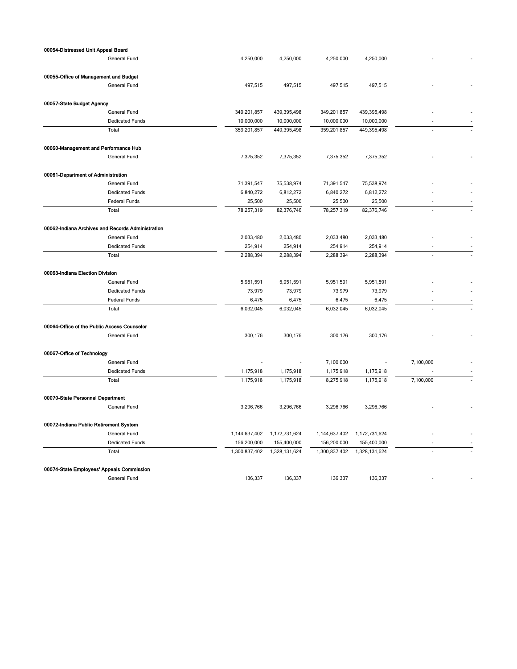| 00054-Distressed Unit Appeal Board          |                                                   |               |               |               |                          |           |  |
|---------------------------------------------|---------------------------------------------------|---------------|---------------|---------------|--------------------------|-----------|--|
|                                             | General Fund                                      | 4,250,000     | 4,250,000     | 4,250,000     | 4,250,000                |           |  |
| 00055-Office of Management and Budget       |                                                   |               |               |               |                          |           |  |
|                                             | General Fund                                      | 497,515       | 497,515       | 497,515       | 497,515                  |           |  |
| 00057-State Budget Agency                   |                                                   |               |               |               |                          |           |  |
|                                             | General Fund                                      | 349,201,857   | 439,395,498   | 349,201,857   | 439,395,498              |           |  |
|                                             | <b>Dedicated Funds</b>                            | 10,000,000    | 10,000,000    | 10,000,000    | 10,000,000               |           |  |
|                                             | Total                                             | 359,201,857   | 449,395,498   | 359,201,857   | 449,395,498              |           |  |
| 00060-Management and Performance Hub        |                                                   |               |               |               |                          |           |  |
|                                             | General Fund                                      | 7,375,352     | 7,375,352     | 7,375,352     | 7,375,352                |           |  |
| 00061-Department of Administration          |                                                   |               |               |               |                          |           |  |
|                                             | General Fund                                      | 71,391,547    | 75,538,974    | 71,391,547    | 75,538,974               |           |  |
|                                             | <b>Dedicated Funds</b>                            | 6,840,272     | 6,812,272     | 6,840,272     | 6,812,272                |           |  |
|                                             | Federal Funds                                     | 25,500        | 25,500        | 25,500        | 25,500                   |           |  |
|                                             | Total                                             | 78,257,319    | 82,376,746    | 78,257,319    | 82,376,746               |           |  |
|                                             | 00062-Indiana Archives and Records Administration |               |               |               |                          |           |  |
|                                             | General Fund                                      | 2,033,480     | 2,033,480     | 2,033,480     | 2,033,480                |           |  |
|                                             | <b>Dedicated Funds</b>                            | 254,914       | 254,914       | 254,914       | 254,914                  |           |  |
|                                             | Total                                             | 2,288,394     | 2,288,394     | 2,288,394     | 2,288,394                |           |  |
| 00063-Indiana Election Division             |                                                   |               |               |               |                          |           |  |
|                                             | General Fund                                      | 5,951,591     | 5,951,591     | 5,951,591     | 5,951,591                |           |  |
|                                             | <b>Dedicated Funds</b>                            | 73,979        | 73,979        | 73,979        | 73,979                   |           |  |
|                                             | Federal Funds                                     | 6,475         | 6,475         | 6,475         | 6,475                    |           |  |
|                                             | Total                                             | 6,032,045     | 6,032,045     | 6,032,045     | 6,032,045                |           |  |
| 00064-Office of the Public Access Counselor |                                                   |               |               |               |                          |           |  |
|                                             | General Fund                                      | 300,176       | 300,176       | 300,176       | 300,176                  |           |  |
| 00067-Office of Technology                  |                                                   |               |               |               |                          |           |  |
|                                             | General Fund                                      |               |               | 7,100,000     | $\overline{\phantom{a}}$ | 7,100,000 |  |
|                                             | <b>Dedicated Funds</b>                            | 1,175,918     | 1,175,918     | 1,175,918     | 1,175,918                |           |  |
|                                             | Total                                             | 1,175,918     | 1,175,918     | 8,275,918     | 1,175,918                | 7,100,000 |  |
| 00070-State Personnel Department            |                                                   |               |               |               |                          |           |  |
|                                             | General Fund                                      | 3,296,766     | 3,296,766     | 3,296,766     | 3,296,766                |           |  |
| 00072-Indiana Public Retirement System      |                                                   |               |               |               |                          |           |  |
|                                             | General Fund                                      | 1,144,637,402 | 1,172,731,624 | 1,144,637,402 | 1,172,731,624            |           |  |
|                                             | <b>Dedicated Funds</b>                            | 156,200,000   | 155,400,000   | 156,200,000   | 155,400,000              |           |  |
|                                             | Total                                             | 1,300,837,402 | 1,328,131,624 | 1,300,837,402 | 1,328,131,624            |           |  |
| 00074-State Employees' Appeals Commission   |                                                   |               |               |               |                          |           |  |
|                                             | General Fund                                      | 136,337       | 136,337       | 136,337       | 136,337                  |           |  |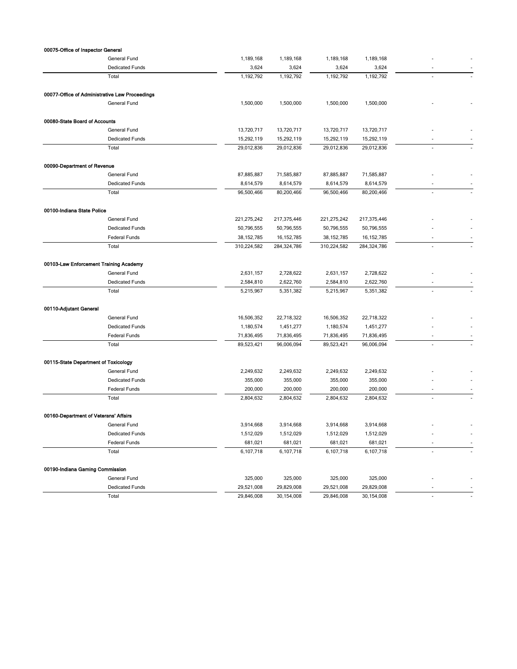| General Fund<br>1,189,168<br>1,189,168<br>1,189,168<br>1,189,168<br><b>Dedicated Funds</b><br>3,624<br>3,624<br>3,624<br>3,624<br>1,192,792<br>Total<br>1,192,792<br>1,192,792<br>1,192,792<br>00077-Office of Administrative Law Proceedings<br>General Fund<br>1,500,000<br>1,500,000<br>1,500,000<br>1,500,000<br>00080-State Board of Accounts<br>General Fund<br>13,720,717<br>13,720,717<br>13,720,717<br>13,720,717<br><b>Dedicated Funds</b><br>15,292,119<br>15,292,119<br>15,292,119<br>15,292,119<br>Total<br>29,012,836<br>29,012,836<br>29,012,836<br>29,012,836<br>00090-Department of Revenue<br>General Fund<br>87,885,887<br>71,585,887<br>87,885,887<br>71,585,887<br><b>Dedicated Funds</b><br>8,614,579<br>8,614,579<br>8,614,579<br>8,614,579<br>Total<br>80,200,466<br>96,500,466<br>96,500,466<br>80,200,466<br>00100-Indiana State Police<br>General Fund<br>221,275,242<br>217,375,446<br>221,275,242<br>217,375,446<br><b>Dedicated Funds</b><br>50,796,555<br>50,796,555<br>50,796,555<br>50,796,555<br>Federal Funds<br>38, 152, 785<br>16, 152, 785<br>38, 152, 785<br>16, 152, 785<br>٠<br>Total<br>310,224,582<br>284,324,786<br>310,224,582<br>284,324,786<br>00103-Law Enforcement Training Academy<br>General Fund<br>2,631,157<br>2,728,622<br>2,631,157<br>2,728,622<br><b>Dedicated Funds</b><br>2,584,810<br>2,622,760<br>2,584,810<br>2,622,760<br>5,351,382<br>Total<br>5,215,967<br>5,351,382<br>5,215,967<br>÷<br>00110-Adjutant General<br>General Fund<br>16,506,352<br>22,718,322<br>16,506,352<br>22,718,322<br><b>Dedicated Funds</b><br>1,180,574<br>1,451,277<br>1,180,574<br>1,451,277<br>Federal Funds<br>71,836,495<br>71,836,495<br>71,836,495<br>71,836,495<br>96,006,094<br>96,006,094<br>Total<br>89,523,421<br>89,523,421<br>00115-State Department of Toxicology<br>General Fund<br>2,249,632<br>2,249,632<br>2,249,632<br>2,249,632<br><b>Dedicated Funds</b><br>355,000<br>355,000<br>355,000<br>355,000<br>Federal Funds<br>200,000<br>200,000<br>200,000<br>200,000<br>٠<br>2,804,632<br>Total<br>2,804,632<br>2,804,632<br>2,804,632<br>ä,<br>00160-Department of Veterans' Affairs<br>General Fund<br>3,914,668<br>3,914,668<br>3,914,668<br>3,914,668<br><b>Dedicated Funds</b><br>1,512,029<br>1,512,029<br>1,512,029<br>1,512,029<br>681,021<br>Federal Funds<br>681,021<br>681,021<br>681,021<br>$\overline{\phantom{a}}$<br>$\overline{a}$<br>6,107,718<br>6,107,718<br>Total<br>6,107,718<br>6,107,718<br>÷.<br>00190-Indiana Gaming Commission<br>General Fund<br>325,000<br>325,000<br>325,000<br>325,000<br><b>Dedicated Funds</b><br>29,521,008<br>29,829,008<br>29,521,008<br>29,829,008<br>29,846,008<br>30,154,008<br>30, 154, 008<br>Total<br>29,846,008<br>$\blacksquare$<br>÷. | 00075-Office of Inspector General |  |  |  |
|----------------------------------------------------------------------------------------------------------------------------------------------------------------------------------------------------------------------------------------------------------------------------------------------------------------------------------------------------------------------------------------------------------------------------------------------------------------------------------------------------------------------------------------------------------------------------------------------------------------------------------------------------------------------------------------------------------------------------------------------------------------------------------------------------------------------------------------------------------------------------------------------------------------------------------------------------------------------------------------------------------------------------------------------------------------------------------------------------------------------------------------------------------------------------------------------------------------------------------------------------------------------------------------------------------------------------------------------------------------------------------------------------------------------------------------------------------------------------------------------------------------------------------------------------------------------------------------------------------------------------------------------------------------------------------------------------------------------------------------------------------------------------------------------------------------------------------------------------------------------------------------------------------------------------------------------------------------------------------------------------------------------------------------------------------------------------------------------------------------------------------------------------------------------------------------------------------------------------------------------------------------------------------------------------------------------------------------------------------------------------------------------------------------------------------------------------------------------------------------------------------------------------------------------------------------------------------------------------------------------------------------------------------------------------------------------------------------------------------------------------------------|-----------------------------------|--|--|--|
|                                                                                                                                                                                                                                                                                                                                                                                                                                                                                                                                                                                                                                                                                                                                                                                                                                                                                                                                                                                                                                                                                                                                                                                                                                                                                                                                                                                                                                                                                                                                                                                                                                                                                                                                                                                                                                                                                                                                                                                                                                                                                                                                                                                                                                                                                                                                                                                                                                                                                                                                                                                                                                                                                                                                                                |                                   |  |  |  |
|                                                                                                                                                                                                                                                                                                                                                                                                                                                                                                                                                                                                                                                                                                                                                                                                                                                                                                                                                                                                                                                                                                                                                                                                                                                                                                                                                                                                                                                                                                                                                                                                                                                                                                                                                                                                                                                                                                                                                                                                                                                                                                                                                                                                                                                                                                                                                                                                                                                                                                                                                                                                                                                                                                                                                                |                                   |  |  |  |
|                                                                                                                                                                                                                                                                                                                                                                                                                                                                                                                                                                                                                                                                                                                                                                                                                                                                                                                                                                                                                                                                                                                                                                                                                                                                                                                                                                                                                                                                                                                                                                                                                                                                                                                                                                                                                                                                                                                                                                                                                                                                                                                                                                                                                                                                                                                                                                                                                                                                                                                                                                                                                                                                                                                                                                |                                   |  |  |  |
|                                                                                                                                                                                                                                                                                                                                                                                                                                                                                                                                                                                                                                                                                                                                                                                                                                                                                                                                                                                                                                                                                                                                                                                                                                                                                                                                                                                                                                                                                                                                                                                                                                                                                                                                                                                                                                                                                                                                                                                                                                                                                                                                                                                                                                                                                                                                                                                                                                                                                                                                                                                                                                                                                                                                                                |                                   |  |  |  |
|                                                                                                                                                                                                                                                                                                                                                                                                                                                                                                                                                                                                                                                                                                                                                                                                                                                                                                                                                                                                                                                                                                                                                                                                                                                                                                                                                                                                                                                                                                                                                                                                                                                                                                                                                                                                                                                                                                                                                                                                                                                                                                                                                                                                                                                                                                                                                                                                                                                                                                                                                                                                                                                                                                                                                                |                                   |  |  |  |
|                                                                                                                                                                                                                                                                                                                                                                                                                                                                                                                                                                                                                                                                                                                                                                                                                                                                                                                                                                                                                                                                                                                                                                                                                                                                                                                                                                                                                                                                                                                                                                                                                                                                                                                                                                                                                                                                                                                                                                                                                                                                                                                                                                                                                                                                                                                                                                                                                                                                                                                                                                                                                                                                                                                                                                |                                   |  |  |  |
|                                                                                                                                                                                                                                                                                                                                                                                                                                                                                                                                                                                                                                                                                                                                                                                                                                                                                                                                                                                                                                                                                                                                                                                                                                                                                                                                                                                                                                                                                                                                                                                                                                                                                                                                                                                                                                                                                                                                                                                                                                                                                                                                                                                                                                                                                                                                                                                                                                                                                                                                                                                                                                                                                                                                                                |                                   |  |  |  |
|                                                                                                                                                                                                                                                                                                                                                                                                                                                                                                                                                                                                                                                                                                                                                                                                                                                                                                                                                                                                                                                                                                                                                                                                                                                                                                                                                                                                                                                                                                                                                                                                                                                                                                                                                                                                                                                                                                                                                                                                                                                                                                                                                                                                                                                                                                                                                                                                                                                                                                                                                                                                                                                                                                                                                                |                                   |  |  |  |
|                                                                                                                                                                                                                                                                                                                                                                                                                                                                                                                                                                                                                                                                                                                                                                                                                                                                                                                                                                                                                                                                                                                                                                                                                                                                                                                                                                                                                                                                                                                                                                                                                                                                                                                                                                                                                                                                                                                                                                                                                                                                                                                                                                                                                                                                                                                                                                                                                                                                                                                                                                                                                                                                                                                                                                |                                   |  |  |  |
|                                                                                                                                                                                                                                                                                                                                                                                                                                                                                                                                                                                                                                                                                                                                                                                                                                                                                                                                                                                                                                                                                                                                                                                                                                                                                                                                                                                                                                                                                                                                                                                                                                                                                                                                                                                                                                                                                                                                                                                                                                                                                                                                                                                                                                                                                                                                                                                                                                                                                                                                                                                                                                                                                                                                                                |                                   |  |  |  |
|                                                                                                                                                                                                                                                                                                                                                                                                                                                                                                                                                                                                                                                                                                                                                                                                                                                                                                                                                                                                                                                                                                                                                                                                                                                                                                                                                                                                                                                                                                                                                                                                                                                                                                                                                                                                                                                                                                                                                                                                                                                                                                                                                                                                                                                                                                                                                                                                                                                                                                                                                                                                                                                                                                                                                                |                                   |  |  |  |
|                                                                                                                                                                                                                                                                                                                                                                                                                                                                                                                                                                                                                                                                                                                                                                                                                                                                                                                                                                                                                                                                                                                                                                                                                                                                                                                                                                                                                                                                                                                                                                                                                                                                                                                                                                                                                                                                                                                                                                                                                                                                                                                                                                                                                                                                                                                                                                                                                                                                                                                                                                                                                                                                                                                                                                |                                   |  |  |  |
|                                                                                                                                                                                                                                                                                                                                                                                                                                                                                                                                                                                                                                                                                                                                                                                                                                                                                                                                                                                                                                                                                                                                                                                                                                                                                                                                                                                                                                                                                                                                                                                                                                                                                                                                                                                                                                                                                                                                                                                                                                                                                                                                                                                                                                                                                                                                                                                                                                                                                                                                                                                                                                                                                                                                                                |                                   |  |  |  |
|                                                                                                                                                                                                                                                                                                                                                                                                                                                                                                                                                                                                                                                                                                                                                                                                                                                                                                                                                                                                                                                                                                                                                                                                                                                                                                                                                                                                                                                                                                                                                                                                                                                                                                                                                                                                                                                                                                                                                                                                                                                                                                                                                                                                                                                                                                                                                                                                                                                                                                                                                                                                                                                                                                                                                                |                                   |  |  |  |
|                                                                                                                                                                                                                                                                                                                                                                                                                                                                                                                                                                                                                                                                                                                                                                                                                                                                                                                                                                                                                                                                                                                                                                                                                                                                                                                                                                                                                                                                                                                                                                                                                                                                                                                                                                                                                                                                                                                                                                                                                                                                                                                                                                                                                                                                                                                                                                                                                                                                                                                                                                                                                                                                                                                                                                |                                   |  |  |  |
|                                                                                                                                                                                                                                                                                                                                                                                                                                                                                                                                                                                                                                                                                                                                                                                                                                                                                                                                                                                                                                                                                                                                                                                                                                                                                                                                                                                                                                                                                                                                                                                                                                                                                                                                                                                                                                                                                                                                                                                                                                                                                                                                                                                                                                                                                                                                                                                                                                                                                                                                                                                                                                                                                                                                                                |                                   |  |  |  |
|                                                                                                                                                                                                                                                                                                                                                                                                                                                                                                                                                                                                                                                                                                                                                                                                                                                                                                                                                                                                                                                                                                                                                                                                                                                                                                                                                                                                                                                                                                                                                                                                                                                                                                                                                                                                                                                                                                                                                                                                                                                                                                                                                                                                                                                                                                                                                                                                                                                                                                                                                                                                                                                                                                                                                                |                                   |  |  |  |
|                                                                                                                                                                                                                                                                                                                                                                                                                                                                                                                                                                                                                                                                                                                                                                                                                                                                                                                                                                                                                                                                                                                                                                                                                                                                                                                                                                                                                                                                                                                                                                                                                                                                                                                                                                                                                                                                                                                                                                                                                                                                                                                                                                                                                                                                                                                                                                                                                                                                                                                                                                                                                                                                                                                                                                |                                   |  |  |  |
|                                                                                                                                                                                                                                                                                                                                                                                                                                                                                                                                                                                                                                                                                                                                                                                                                                                                                                                                                                                                                                                                                                                                                                                                                                                                                                                                                                                                                                                                                                                                                                                                                                                                                                                                                                                                                                                                                                                                                                                                                                                                                                                                                                                                                                                                                                                                                                                                                                                                                                                                                                                                                                                                                                                                                                |                                   |  |  |  |
|                                                                                                                                                                                                                                                                                                                                                                                                                                                                                                                                                                                                                                                                                                                                                                                                                                                                                                                                                                                                                                                                                                                                                                                                                                                                                                                                                                                                                                                                                                                                                                                                                                                                                                                                                                                                                                                                                                                                                                                                                                                                                                                                                                                                                                                                                                                                                                                                                                                                                                                                                                                                                                                                                                                                                                |                                   |  |  |  |
|                                                                                                                                                                                                                                                                                                                                                                                                                                                                                                                                                                                                                                                                                                                                                                                                                                                                                                                                                                                                                                                                                                                                                                                                                                                                                                                                                                                                                                                                                                                                                                                                                                                                                                                                                                                                                                                                                                                                                                                                                                                                                                                                                                                                                                                                                                                                                                                                                                                                                                                                                                                                                                                                                                                                                                |                                   |  |  |  |
|                                                                                                                                                                                                                                                                                                                                                                                                                                                                                                                                                                                                                                                                                                                                                                                                                                                                                                                                                                                                                                                                                                                                                                                                                                                                                                                                                                                                                                                                                                                                                                                                                                                                                                                                                                                                                                                                                                                                                                                                                                                                                                                                                                                                                                                                                                                                                                                                                                                                                                                                                                                                                                                                                                                                                                |                                   |  |  |  |
|                                                                                                                                                                                                                                                                                                                                                                                                                                                                                                                                                                                                                                                                                                                                                                                                                                                                                                                                                                                                                                                                                                                                                                                                                                                                                                                                                                                                                                                                                                                                                                                                                                                                                                                                                                                                                                                                                                                                                                                                                                                                                                                                                                                                                                                                                                                                                                                                                                                                                                                                                                                                                                                                                                                                                                |                                   |  |  |  |
|                                                                                                                                                                                                                                                                                                                                                                                                                                                                                                                                                                                                                                                                                                                                                                                                                                                                                                                                                                                                                                                                                                                                                                                                                                                                                                                                                                                                                                                                                                                                                                                                                                                                                                                                                                                                                                                                                                                                                                                                                                                                                                                                                                                                                                                                                                                                                                                                                                                                                                                                                                                                                                                                                                                                                                |                                   |  |  |  |
|                                                                                                                                                                                                                                                                                                                                                                                                                                                                                                                                                                                                                                                                                                                                                                                                                                                                                                                                                                                                                                                                                                                                                                                                                                                                                                                                                                                                                                                                                                                                                                                                                                                                                                                                                                                                                                                                                                                                                                                                                                                                                                                                                                                                                                                                                                                                                                                                                                                                                                                                                                                                                                                                                                                                                                |                                   |  |  |  |
|                                                                                                                                                                                                                                                                                                                                                                                                                                                                                                                                                                                                                                                                                                                                                                                                                                                                                                                                                                                                                                                                                                                                                                                                                                                                                                                                                                                                                                                                                                                                                                                                                                                                                                                                                                                                                                                                                                                                                                                                                                                                                                                                                                                                                                                                                                                                                                                                                                                                                                                                                                                                                                                                                                                                                                |                                   |  |  |  |
|                                                                                                                                                                                                                                                                                                                                                                                                                                                                                                                                                                                                                                                                                                                                                                                                                                                                                                                                                                                                                                                                                                                                                                                                                                                                                                                                                                                                                                                                                                                                                                                                                                                                                                                                                                                                                                                                                                                                                                                                                                                                                                                                                                                                                                                                                                                                                                                                                                                                                                                                                                                                                                                                                                                                                                |                                   |  |  |  |
|                                                                                                                                                                                                                                                                                                                                                                                                                                                                                                                                                                                                                                                                                                                                                                                                                                                                                                                                                                                                                                                                                                                                                                                                                                                                                                                                                                                                                                                                                                                                                                                                                                                                                                                                                                                                                                                                                                                                                                                                                                                                                                                                                                                                                                                                                                                                                                                                                                                                                                                                                                                                                                                                                                                                                                |                                   |  |  |  |
|                                                                                                                                                                                                                                                                                                                                                                                                                                                                                                                                                                                                                                                                                                                                                                                                                                                                                                                                                                                                                                                                                                                                                                                                                                                                                                                                                                                                                                                                                                                                                                                                                                                                                                                                                                                                                                                                                                                                                                                                                                                                                                                                                                                                                                                                                                                                                                                                                                                                                                                                                                                                                                                                                                                                                                |                                   |  |  |  |
|                                                                                                                                                                                                                                                                                                                                                                                                                                                                                                                                                                                                                                                                                                                                                                                                                                                                                                                                                                                                                                                                                                                                                                                                                                                                                                                                                                                                                                                                                                                                                                                                                                                                                                                                                                                                                                                                                                                                                                                                                                                                                                                                                                                                                                                                                                                                                                                                                                                                                                                                                                                                                                                                                                                                                                |                                   |  |  |  |
|                                                                                                                                                                                                                                                                                                                                                                                                                                                                                                                                                                                                                                                                                                                                                                                                                                                                                                                                                                                                                                                                                                                                                                                                                                                                                                                                                                                                                                                                                                                                                                                                                                                                                                                                                                                                                                                                                                                                                                                                                                                                                                                                                                                                                                                                                                                                                                                                                                                                                                                                                                                                                                                                                                                                                                |                                   |  |  |  |
|                                                                                                                                                                                                                                                                                                                                                                                                                                                                                                                                                                                                                                                                                                                                                                                                                                                                                                                                                                                                                                                                                                                                                                                                                                                                                                                                                                                                                                                                                                                                                                                                                                                                                                                                                                                                                                                                                                                                                                                                                                                                                                                                                                                                                                                                                                                                                                                                                                                                                                                                                                                                                                                                                                                                                                |                                   |  |  |  |
|                                                                                                                                                                                                                                                                                                                                                                                                                                                                                                                                                                                                                                                                                                                                                                                                                                                                                                                                                                                                                                                                                                                                                                                                                                                                                                                                                                                                                                                                                                                                                                                                                                                                                                                                                                                                                                                                                                                                                                                                                                                                                                                                                                                                                                                                                                                                                                                                                                                                                                                                                                                                                                                                                                                                                                |                                   |  |  |  |
|                                                                                                                                                                                                                                                                                                                                                                                                                                                                                                                                                                                                                                                                                                                                                                                                                                                                                                                                                                                                                                                                                                                                                                                                                                                                                                                                                                                                                                                                                                                                                                                                                                                                                                                                                                                                                                                                                                                                                                                                                                                                                                                                                                                                                                                                                                                                                                                                                                                                                                                                                                                                                                                                                                                                                                |                                   |  |  |  |
|                                                                                                                                                                                                                                                                                                                                                                                                                                                                                                                                                                                                                                                                                                                                                                                                                                                                                                                                                                                                                                                                                                                                                                                                                                                                                                                                                                                                                                                                                                                                                                                                                                                                                                                                                                                                                                                                                                                                                                                                                                                                                                                                                                                                                                                                                                                                                                                                                                                                                                                                                                                                                                                                                                                                                                |                                   |  |  |  |
|                                                                                                                                                                                                                                                                                                                                                                                                                                                                                                                                                                                                                                                                                                                                                                                                                                                                                                                                                                                                                                                                                                                                                                                                                                                                                                                                                                                                                                                                                                                                                                                                                                                                                                                                                                                                                                                                                                                                                                                                                                                                                                                                                                                                                                                                                                                                                                                                                                                                                                                                                                                                                                                                                                                                                                |                                   |  |  |  |
|                                                                                                                                                                                                                                                                                                                                                                                                                                                                                                                                                                                                                                                                                                                                                                                                                                                                                                                                                                                                                                                                                                                                                                                                                                                                                                                                                                                                                                                                                                                                                                                                                                                                                                                                                                                                                                                                                                                                                                                                                                                                                                                                                                                                                                                                                                                                                                                                                                                                                                                                                                                                                                                                                                                                                                |                                   |  |  |  |
|                                                                                                                                                                                                                                                                                                                                                                                                                                                                                                                                                                                                                                                                                                                                                                                                                                                                                                                                                                                                                                                                                                                                                                                                                                                                                                                                                                                                                                                                                                                                                                                                                                                                                                                                                                                                                                                                                                                                                                                                                                                                                                                                                                                                                                                                                                                                                                                                                                                                                                                                                                                                                                                                                                                                                                |                                   |  |  |  |
|                                                                                                                                                                                                                                                                                                                                                                                                                                                                                                                                                                                                                                                                                                                                                                                                                                                                                                                                                                                                                                                                                                                                                                                                                                                                                                                                                                                                                                                                                                                                                                                                                                                                                                                                                                                                                                                                                                                                                                                                                                                                                                                                                                                                                                                                                                                                                                                                                                                                                                                                                                                                                                                                                                                                                                |                                   |  |  |  |
|                                                                                                                                                                                                                                                                                                                                                                                                                                                                                                                                                                                                                                                                                                                                                                                                                                                                                                                                                                                                                                                                                                                                                                                                                                                                                                                                                                                                                                                                                                                                                                                                                                                                                                                                                                                                                                                                                                                                                                                                                                                                                                                                                                                                                                                                                                                                                                                                                                                                                                                                                                                                                                                                                                                                                                |                                   |  |  |  |
|                                                                                                                                                                                                                                                                                                                                                                                                                                                                                                                                                                                                                                                                                                                                                                                                                                                                                                                                                                                                                                                                                                                                                                                                                                                                                                                                                                                                                                                                                                                                                                                                                                                                                                                                                                                                                                                                                                                                                                                                                                                                                                                                                                                                                                                                                                                                                                                                                                                                                                                                                                                                                                                                                                                                                                |                                   |  |  |  |
|                                                                                                                                                                                                                                                                                                                                                                                                                                                                                                                                                                                                                                                                                                                                                                                                                                                                                                                                                                                                                                                                                                                                                                                                                                                                                                                                                                                                                                                                                                                                                                                                                                                                                                                                                                                                                                                                                                                                                                                                                                                                                                                                                                                                                                                                                                                                                                                                                                                                                                                                                                                                                                                                                                                                                                |                                   |  |  |  |
|                                                                                                                                                                                                                                                                                                                                                                                                                                                                                                                                                                                                                                                                                                                                                                                                                                                                                                                                                                                                                                                                                                                                                                                                                                                                                                                                                                                                                                                                                                                                                                                                                                                                                                                                                                                                                                                                                                                                                                                                                                                                                                                                                                                                                                                                                                                                                                                                                                                                                                                                                                                                                                                                                                                                                                |                                   |  |  |  |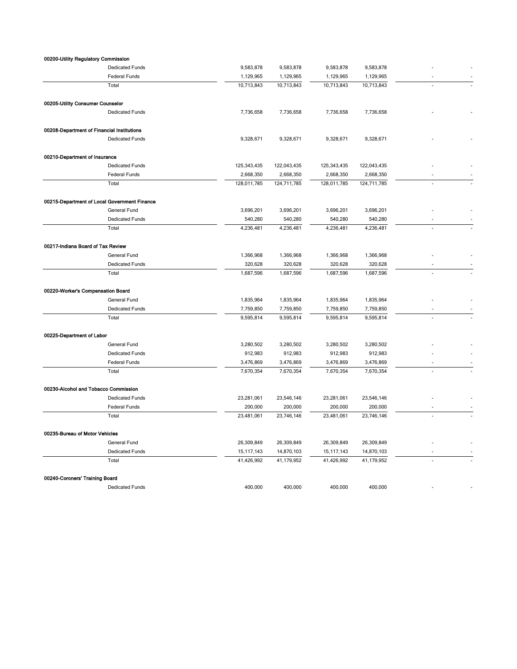| 00200-Utility Regulatory Commission          |                        |              |             |              |             |    |
|----------------------------------------------|------------------------|--------------|-------------|--------------|-------------|----|
|                                              | <b>Dedicated Funds</b> | 9,583,878    | 9,583,878   | 9,583,878    | 9,583,878   |    |
|                                              | <b>Federal Funds</b>   | 1,129,965    | 1,129,965   | 1,129,965    | 1,129,965   |    |
| Total                                        |                        | 10,713,843   | 10,713,843  | 10,713,843   | 10,713,843  |    |
| 00205-Utility Consumer Counselor             |                        |              |             |              |             |    |
|                                              | <b>Dedicated Funds</b> | 7,736,658    | 7,736,658   | 7,736,658    | 7,736,658   |    |
| 00208-Department of Financial Institutions   |                        |              |             |              |             |    |
|                                              | <b>Dedicated Funds</b> | 9,328,671    | 9,328,671   | 9,328,671    | 9,328,671   |    |
| 00210-Department of Insurance                |                        |              |             |              |             |    |
|                                              | <b>Dedicated Funds</b> | 125,343,435  | 122,043,435 | 125,343,435  | 122,043,435 |    |
|                                              | Federal Funds          | 2,668,350    | 2,668,350   | 2,668,350    | 2,668,350   |    |
| Total                                        |                        | 128,011,785  | 124,711,785 | 128,011,785  | 124,711,785 |    |
| 00215-Department of Local Government Finance |                        |              |             |              |             |    |
|                                              | General Fund           | 3,696,201    | 3,696,201   | 3,696,201    | 3,696,201   |    |
|                                              | <b>Dedicated Funds</b> | 540,280      | 540,280     | 540,280      | 540,280     |    |
| Total                                        |                        | 4,236,481    | 4,236,481   | 4,236,481    | 4,236,481   |    |
|                                              |                        |              |             |              |             |    |
| 00217-Indiana Board of Tax Review            |                        |              |             |              |             |    |
|                                              | General Fund           | 1,366,968    | 1,366,968   | 1,366,968    | 1,366,968   |    |
|                                              | <b>Dedicated Funds</b> | 320,628      | 320,628     | 320,628      | 320,628     |    |
| Total                                        |                        | 1,687,596    | 1,687,596   | 1,687,596    | 1,687,596   | L. |
| 00220-Worker's Compensation Board            |                        |              |             |              |             |    |
|                                              | General Fund           | 1,835,964    | 1,835,964   | 1,835,964    | 1,835,964   |    |
|                                              | <b>Dedicated Funds</b> | 7,759,850    | 7,759,850   | 7,759,850    | 7,759,850   |    |
| Total                                        |                        | 9,595,814    | 9,595,814   | 9,595,814    | 9,595,814   |    |
| 00225-Department of Labor                    |                        |              |             |              |             |    |
|                                              | General Fund           | 3,280,502    | 3,280,502   | 3,280,502    | 3,280,502   |    |
|                                              | <b>Dedicated Funds</b> | 912,983      | 912,983     | 912,983      | 912,983     |    |
|                                              | <b>Federal Funds</b>   | 3,476,869    | 3,476,869   | 3,476,869    | 3,476,869   |    |
| Total                                        |                        | 7,670,354    | 7,670,354   | 7,670,354    | 7,670,354   |    |
| 00230-Alcohol and Tobacco Commission         |                        |              |             |              |             |    |
|                                              | <b>Dedicated Funds</b> | 23,281,061   | 23,546,146  | 23,281,061   | 23,546,146  |    |
|                                              | Federal Funds          | 200,000      | 200,000     | 200,000      | 200,000     |    |
| Total                                        |                        | 23,481,061   | 23,746,146  | 23,481,061   | 23,746,146  |    |
| 00235-Bureau of Motor Vehicles               |                        |              |             |              |             |    |
|                                              | General Fund           | 26,309,849   | 26,309,849  | 26,309,849   | 26,309,849  |    |
|                                              | <b>Dedicated Funds</b> | 15, 117, 143 | 14,870,103  | 15, 117, 143 | 14,870,103  |    |
| Total                                        |                        | 41,426,992   | 41,179,952  | 41,426,992   | 41,179,952  |    |
| 00240-Coroners' Training Board               |                        |              |             |              |             |    |
|                                              | <b>Dedicated Funds</b> | 400,000      | 400,000     | 400,000      | 400,000     |    |
|                                              |                        |              |             |              |             |    |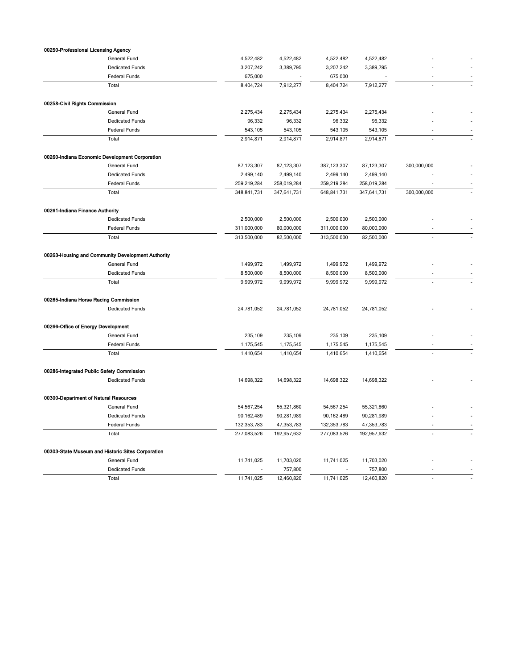| 00250-Professional Licensing Agency   |                                                   |             |             |               |              |                |  |
|---------------------------------------|---------------------------------------------------|-------------|-------------|---------------|--------------|----------------|--|
|                                       | General Fund                                      | 4,522,482   | 4,522,482   | 4,522,482     | 4,522,482    |                |  |
|                                       | <b>Dedicated Funds</b>                            | 3,207,242   | 3,389,795   | 3,207,242     | 3,389,795    |                |  |
|                                       | Federal Funds                                     | 675,000     |             | 675,000       |              |                |  |
|                                       | Total                                             | 8,404,724   | 7,912,277   | 8,404,724     | 7,912,277    |                |  |
|                                       |                                                   |             |             |               |              |                |  |
| 00258-Civil Rights Commission         |                                                   |             |             |               |              |                |  |
|                                       | General Fund                                      | 2,275,434   | 2,275,434   | 2,275,434     | 2,275,434    |                |  |
|                                       | <b>Dedicated Funds</b>                            | 96,332      | 96,332      | 96,332        | 96,332       |                |  |
|                                       | Federal Funds                                     | 543,105     | 543,105     | 543,105       | 543,105      |                |  |
|                                       | Total                                             | 2,914,871   | 2,914,871   | 2,914,871     | 2,914,871    |                |  |
|                                       | 00260-Indiana Economic Development Corporation    |             |             |               |              |                |  |
|                                       | General Fund                                      | 87,123,307  | 87,123,307  | 387, 123, 307 | 87, 123, 307 | 300,000,000    |  |
|                                       | <b>Dedicated Funds</b>                            | 2,499,140   | 2,499,140   | 2,499,140     | 2,499,140    |                |  |
|                                       | Federal Funds                                     | 259,219,284 | 258,019,284 | 259,219,284   | 258,019,284  |                |  |
|                                       | Total                                             | 348,841,731 | 347,641,731 | 648,841,731   | 347,641,731  | 300,000,000    |  |
| 00261-Indiana Finance Authority       |                                                   |             |             |               |              |                |  |
|                                       | <b>Dedicated Funds</b>                            | 2,500,000   | 2,500,000   | 2,500,000     | 2,500,000    |                |  |
|                                       | Federal Funds                                     | 311,000,000 | 80,000,000  | 311,000,000   | 80,000,000   |                |  |
|                                       | Total                                             | 313,500,000 | 82,500,000  | 313,500,000   | 82,500,000   |                |  |
|                                       |                                                   |             |             |               |              |                |  |
|                                       | 00263-Housing and Community Development Authority |             |             |               |              |                |  |
|                                       | General Fund                                      | 1,499,972   | 1,499,972   | 1,499,972     | 1,499,972    |                |  |
|                                       | <b>Dedicated Funds</b>                            | 8,500,000   | 8,500,000   | 8,500,000     | 8,500,000    |                |  |
|                                       | Total                                             | 9,999,972   | 9,999,972   | 9,999,972     | 9,999,972    |                |  |
| 00265-Indiana Horse Racing Commission |                                                   |             |             |               |              |                |  |
|                                       | <b>Dedicated Funds</b>                            | 24,781,052  | 24,781,052  | 24,781,052    | 24,781,052   |                |  |
|                                       |                                                   |             |             |               |              |                |  |
| 00266-Office of Energy Development    |                                                   |             |             |               |              |                |  |
|                                       | General Fund                                      | 235,109     | 235,109     | 235,109       | 235,109      |                |  |
|                                       | Federal Funds                                     | 1,175,545   | 1,175,545   | 1,175,545     | 1,175,545    | ٠              |  |
|                                       | Total                                             | 1,410,654   | 1,410,654   | 1,410,654     | 1,410,654    |                |  |
|                                       | 00286-Integrated Public Safety Commission         |             |             |               |              |                |  |
|                                       | <b>Dedicated Funds</b>                            | 14,698,322  | 14,698,322  | 14,698,322    | 14,698,322   |                |  |
|                                       |                                                   |             |             |               |              |                |  |
| 00300-Department of Natural Resources |                                                   |             |             |               |              |                |  |
|                                       | General Fund                                      | 54,567,254  | 55,321,860  | 54,567,254    | 55,321,860   |                |  |
|                                       | <b>Dedicated Funds</b>                            | 90,162,489  | 90,281,989  | 90,162,489    | 90,281,989   |                |  |
|                                       | Federal Funds                                     | 132,353,783 | 47,353,783  | 132, 353, 783 | 47,353,783   |                |  |
|                                       | Total                                             | 277,083,526 | 192,957,632 | 277,083,526   | 192,957,632  |                |  |
|                                       | 00303-State Museum and Historic Sites Corporation |             |             |               |              |                |  |
|                                       | General Fund                                      | 11,741,025  | 11,703,020  | 11,741,025    | 11,703,020   |                |  |
|                                       | <b>Dedicated Funds</b>                            |             | 757,800     |               | 757,800      |                |  |
|                                       | Total                                             | 11,741,025  | 12,460,820  | 11,741,025    | 12,460,820   | $\overline{a}$ |  |
|                                       |                                                   |             |             |               |              |                |  |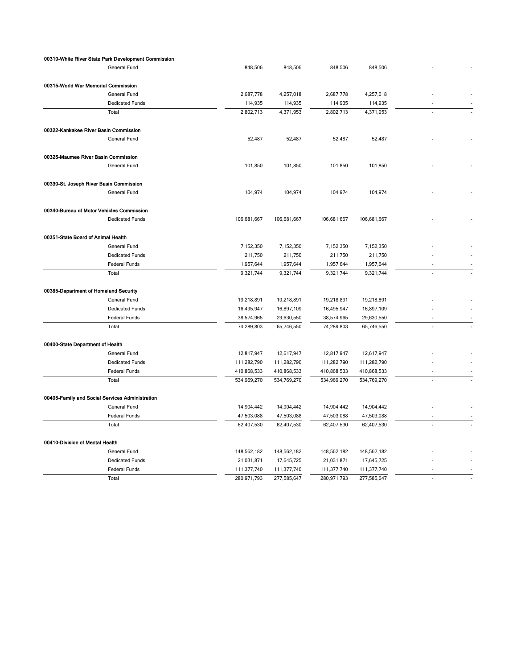|                                                 | 00310-White River State Park Development Commission |             |             |             |             |    |  |
|-------------------------------------------------|-----------------------------------------------------|-------------|-------------|-------------|-------------|----|--|
|                                                 | General Fund                                        | 848,506     | 848,506     | 848,506     | 848,506     |    |  |
| 00315-World War Memorial Commission             |                                                     |             |             |             |             |    |  |
|                                                 | General Fund                                        | 2,687,778   | 4,257,018   | 2,687,778   | 4,257,018   |    |  |
|                                                 | <b>Dedicated Funds</b>                              | 114,935     | 114,935     | 114,935     | 114,935     |    |  |
|                                                 | Total                                               | 2,802,713   | 4,371,953   | 2,802,713   | 4,371,953   | ÷. |  |
|                                                 |                                                     |             |             |             |             |    |  |
| 00322-Kankakee River Basin Commission           |                                                     |             |             |             |             |    |  |
|                                                 | General Fund                                        | 52,487      | 52,487      | 52,487      | 52,487      |    |  |
| 00325-Maumee River Basin Commission             |                                                     |             |             |             |             |    |  |
|                                                 | General Fund                                        | 101,850     | 101,850     | 101,850     | 101,850     |    |  |
| 00330-St. Joseph River Basin Commission         |                                                     |             |             |             |             |    |  |
|                                                 | General Fund                                        | 104,974     | 104,974     | 104,974     | 104,974     |    |  |
| 00340-Bureau of Motor Vehicles Commission       |                                                     |             |             |             |             |    |  |
|                                                 | <b>Dedicated Funds</b>                              | 106,681,667 | 106,681,667 | 106,681,667 | 106,681,667 |    |  |
|                                                 |                                                     |             |             |             |             |    |  |
| 00351-State Board of Animal Health              |                                                     |             |             |             |             |    |  |
|                                                 | General Fund                                        | 7,152,350   | 7,152,350   | 7,152,350   | 7,152,350   |    |  |
|                                                 | <b>Dedicated Funds</b>                              | 211,750     | 211,750     | 211,750     | 211,750     |    |  |
|                                                 | <b>Federal Funds</b>                                | 1,957,644   | 1,957,644   | 1,957,644   | 1,957,644   |    |  |
|                                                 | Total                                               | 9,321,744   | 9,321,744   | 9,321,744   | 9,321,744   |    |  |
| 00385-Department of Homeland Security           |                                                     |             |             |             |             |    |  |
|                                                 | General Fund                                        | 19,218,891  | 19,218,891  | 19,218,891  | 19,218,891  |    |  |
|                                                 | <b>Dedicated Funds</b>                              | 16,495,947  | 16,897,109  | 16,495,947  | 16,897,109  |    |  |
|                                                 | Federal Funds                                       | 38,574,965  | 29,630,550  | 38,574,965  | 29,630,550  |    |  |
|                                                 | Total                                               | 74,289,803  | 65,746,550  | 74,289,803  | 65,746,550  |    |  |
|                                                 |                                                     |             |             |             |             |    |  |
| 00400-State Department of Health                |                                                     |             |             |             |             |    |  |
|                                                 | General Fund                                        | 12,817,947  | 12,617,947  | 12,817,947  | 12,617,947  |    |  |
|                                                 | <b>Dedicated Funds</b>                              | 111,282,790 | 111,282,790 | 111,282,790 | 111,282,790 |    |  |
|                                                 | Federal Funds                                       | 410,868,533 | 410,868,533 | 410,868,533 | 410,868,533 |    |  |
|                                                 | Total                                               | 534,969,270 | 534,769,270 | 534,969,270 | 534,769,270 |    |  |
| 00405-Family and Social Services Administration |                                                     |             |             |             |             |    |  |
|                                                 | General Fund                                        | 14,904,442  | 14,904,442  | 14,904,442  | 14,904,442  |    |  |
|                                                 | Federal Funds                                       | 47,503,088  | 47,503,088  | 47,503,088  | 47,503,088  |    |  |
|                                                 | Total                                               | 62,407,530  | 62,407,530  | 62,407,530  | 62,407,530  |    |  |
| 00410-Division of Mental Health                 |                                                     |             |             |             |             |    |  |
|                                                 | General Fund                                        | 148,562,182 | 148,562,182 | 148,562,182 | 148,562,182 |    |  |
|                                                 | <b>Dedicated Funds</b>                              | 21,031,871  | 17,645,725  | 21,031,871  | 17,645,725  |    |  |
|                                                 | Federal Funds                                       | 111,377,740 | 111,377,740 | 111,377,740 | 111,377,740 |    |  |
|                                                 | Total                                               | 280,971,793 | 277,585,647 | 280,971,793 | 277,585,647 |    |  |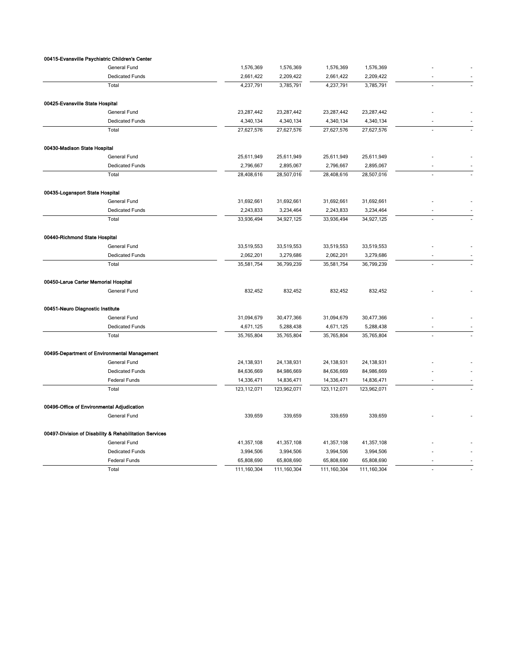|                                            | 00415-Evansville Psychiatric Children's Center         |             |             |               |             |                          |
|--------------------------------------------|--------------------------------------------------------|-------------|-------------|---------------|-------------|--------------------------|
|                                            | General Fund                                           | 1,576,369   | 1,576,369   | 1,576,369     | 1,576,369   |                          |
|                                            | <b>Dedicated Funds</b>                                 | 2,661,422   | 2,209,422   | 2,661,422     | 2,209,422   |                          |
|                                            | Total                                                  | 4,237,791   | 3,785,791   | 4,237,791     | 3,785,791   |                          |
| 00425-Evansville State Hospital            |                                                        |             |             |               |             |                          |
|                                            | General Fund                                           | 23,287,442  | 23,287,442  | 23,287,442    | 23,287,442  |                          |
|                                            | <b>Dedicated Funds</b>                                 | 4,340,134   | 4,340,134   | 4,340,134     | 4,340,134   | $\overline{\phantom{a}}$ |
|                                            | Total                                                  | 27,627,576  | 27,627,576  | 27,627,576    | 27,627,576  |                          |
| 00430-Madison State Hospital               |                                                        |             |             |               |             |                          |
|                                            | General Fund                                           | 25,611,949  | 25,611,949  | 25,611,949    | 25,611,949  |                          |
|                                            | <b>Dedicated Funds</b>                                 | 2,796,667   | 2,895,067   | 2,796,667     | 2,895,067   |                          |
|                                            | Total                                                  | 28,408,616  | 28,507,016  | 28,408,616    | 28,507,016  |                          |
| 00435-Logansport State Hospital            |                                                        |             |             |               |             |                          |
|                                            | General Fund                                           | 31,692,661  | 31,692,661  | 31,692,661    | 31,692,661  |                          |
|                                            | <b>Dedicated Funds</b>                                 | 2,243,833   | 3,234,464   | 2,243,833     | 3,234,464   |                          |
|                                            | Total                                                  | 33,936,494  | 34,927,125  | 33,936,494    | 34,927,125  |                          |
| 00440-Richmond State Hospital              |                                                        |             |             |               |             |                          |
|                                            | General Fund                                           | 33,519,553  | 33,519,553  | 33,519,553    | 33,519,553  |                          |
|                                            | <b>Dedicated Funds</b>                                 | 2,062,201   | 3,279,686   | 2,062,201     | 3,279,686   |                          |
|                                            | Total                                                  | 35,581,754  | 36,799,239  | 35,581,754    | 36,799,239  |                          |
|                                            |                                                        |             |             |               |             |                          |
| 00450-Larue Carter Memorial Hospital       |                                                        |             |             |               |             |                          |
|                                            | General Fund                                           | 832,452     | 832,452     | 832,452       | 832,452     |                          |
| 00451-Neuro Diagnostic Institute           |                                                        |             |             |               |             |                          |
|                                            | General Fund                                           | 31,094,679  | 30,477,366  | 31,094,679    | 30,477,366  |                          |
|                                            | <b>Dedicated Funds</b>                                 | 4,671,125   | 5,288,438   | 4,671,125     | 5,288,438   |                          |
|                                            | Total                                                  | 35,765,804  | 35,765,804  | 35,765,804    | 35,765,804  | ÷,                       |
|                                            | 00495-Department of Environmental Management           |             |             |               |             |                          |
|                                            | General Fund                                           | 24,138,931  | 24,138,931  | 24, 138, 931  | 24,138,931  |                          |
|                                            | <b>Dedicated Funds</b>                                 | 84,636,669  | 84,986,669  | 84,636,669    | 84,986,669  |                          |
|                                            | Federal Funds                                          | 14,336,471  | 14,836,471  | 14,336,471    | 14,836,471  | $\overline{\phantom{a}}$ |
|                                            | Total                                                  | 123,112,071 | 123,962,071 | 123, 112, 071 | 123,962,071 |                          |
| 00496-Office of Environmental Adjudication |                                                        |             |             |               |             |                          |
|                                            | General Fund                                           | 339,659     | 339,659     | 339,659       | 339,659     |                          |
|                                            | 00497-Division of Disability & Rehabilitation Services |             |             |               |             |                          |
|                                            | General Fund                                           | 41,357,108  | 41,357,108  | 41,357,108    | 41,357,108  |                          |
|                                            | <b>Dedicated Funds</b>                                 | 3,994,506   | 3,994,506   | 3,994,506     | 3,994,506   |                          |
|                                            | Federal Funds                                          | 65,808,690  | 65,808,690  | 65,808,690    | 65,808,690  |                          |
|                                            | Total                                                  | 111,160,304 | 111,160,304 | 111,160,304   | 111,160,304 |                          |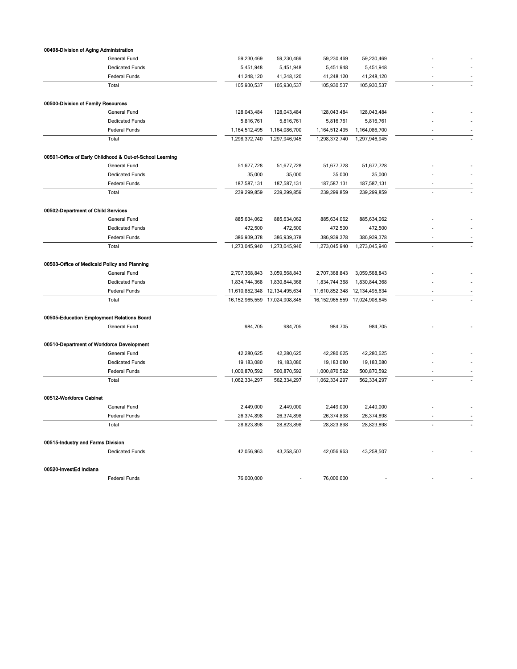| 00498-Division of Aging Administration       |                                                          |                   |                   |                   |                |    |  |
|----------------------------------------------|----------------------------------------------------------|-------------------|-------------------|-------------------|----------------|----|--|
|                                              | General Fund                                             | 59,230,469        | 59,230,469        | 59,230,469        | 59,230,469     |    |  |
|                                              | <b>Dedicated Funds</b>                                   | 5,451,948         | 5,451,948         | 5,451,948         | 5,451,948      |    |  |
|                                              | Federal Funds                                            | 41,248,120        | 41,248,120        | 41,248,120        | 41,248,120     |    |  |
|                                              | Total                                                    | 105,930,537       | 105,930,537       | 105,930,537       | 105,930,537    | ÷. |  |
| 00500-Division of Family Resources           |                                                          |                   |                   |                   |                |    |  |
|                                              | General Fund                                             | 128,043,484       | 128,043,484       | 128,043,484       | 128,043,484    |    |  |
|                                              | <b>Dedicated Funds</b>                                   | 5,816,761         | 5,816,761         | 5,816,761         | 5,816,761      |    |  |
|                                              | Federal Funds                                            | 1,164,512,495     | 1,164,086,700     | 1,164,512,495     | 1,164,086,700  |    |  |
|                                              | Total                                                    | 1,298,372,740     | 1,297,946,945     | 1,298,372,740     | 1,297,946,945  |    |  |
|                                              | 00501-Office of Early Childhood & Out-of-School Learning |                   |                   |                   |                |    |  |
|                                              | General Fund                                             | 51,677,728        | 51,677,728        | 51,677,728        | 51,677,728     |    |  |
|                                              | <b>Dedicated Funds</b>                                   | 35,000            | 35,000            | 35,000            | 35,000         |    |  |
|                                              | Federal Funds                                            | 187,587,131       | 187,587,131       | 187,587,131       | 187,587,131    |    |  |
|                                              | Total                                                    | 239,299,859       | 239,299,859       | 239,299,859       | 239,299,859    |    |  |
| 00502-Department of Child Services           |                                                          |                   |                   |                   |                |    |  |
|                                              | <b>General Fund</b>                                      | 885,634,062       | 885,634,062       | 885,634,062       | 885,634,062    |    |  |
|                                              | <b>Dedicated Funds</b>                                   | 472,500           | 472,500           | 472,500           | 472,500        |    |  |
|                                              | Federal Funds                                            | 386,939,378       | 386,939,378       | 386,939,378       | 386,939,378    | ż. |  |
|                                              | Total                                                    | 1,273,045,940     | 1,273,045,940     | 1,273,045,940     | 1,273,045,940  |    |  |
| 00503-Office of Medicaid Policy and Planning |                                                          |                   |                   |                   |                |    |  |
|                                              | General Fund                                             | 2,707,368,843     | 3,059,568,843     | 2,707,368,843     | 3,059,568,843  |    |  |
|                                              | <b>Dedicated Funds</b>                                   | 1,834,744,368     | 1,830,844,368     | 1,834,744,368     | 1,830,844,368  |    |  |
|                                              | Federal Funds                                            | 11,610,852,348    | 12, 134, 495, 634 | 11,610,852,348    | 12,134,495,634 |    |  |
|                                              | Total                                                    | 16, 152, 965, 559 | 17,024,908,845    | 16, 152, 965, 559 | 17,024,908,845 |    |  |
| 00505-Education Employment Relations Board   |                                                          |                   |                   |                   |                |    |  |
|                                              | General Fund                                             | 984,705           | 984,705           | 984,705           | 984,705        |    |  |
| 00510-Department of Workforce Development    |                                                          |                   |                   |                   |                |    |  |
|                                              | General Fund                                             | 42,280,625        | 42,280,625        | 42,280,625        | 42,280,625     |    |  |
|                                              | <b>Dedicated Funds</b>                                   | 19,183,080        | 19,183,080        | 19,183,080        | 19,183,080     |    |  |
|                                              | Federal Funds                                            | 1,000,870,592     | 500,870,592       | 1,000,870,592     | 500,870,592    |    |  |
|                                              | Total                                                    | 1,062,334,297     | 562,334,297       | 1,062,334,297     | 562,334,297    |    |  |
| 00512-Workforce Cabinet                      |                                                          |                   |                   |                   |                |    |  |
|                                              | General Fund                                             | 2,449,000         | 2,449,000         | 2,449,000         | 2,449,000      |    |  |
|                                              | <b>Federal Funds</b>                                     | 26,374,898        | 26,374,898        | 26,374,898        | 26,374,898     |    |  |
|                                              | Total                                                    | 28,823,898        | 28,823,898        | 28,823,898        | 28,823,898     |    |  |
| 00515-Industry and Farms Division            |                                                          |                   |                   |                   |                |    |  |
|                                              | <b>Dedicated Funds</b>                                   | 42,056,963        | 43,258,507        | 42,056,963        | 43,258,507     |    |  |
| 00520-InvestEd Indiana                       |                                                          |                   |                   |                   |                |    |  |
|                                              | Federal Funds                                            | 76,000,000        |                   | 76,000,000        |                |    |  |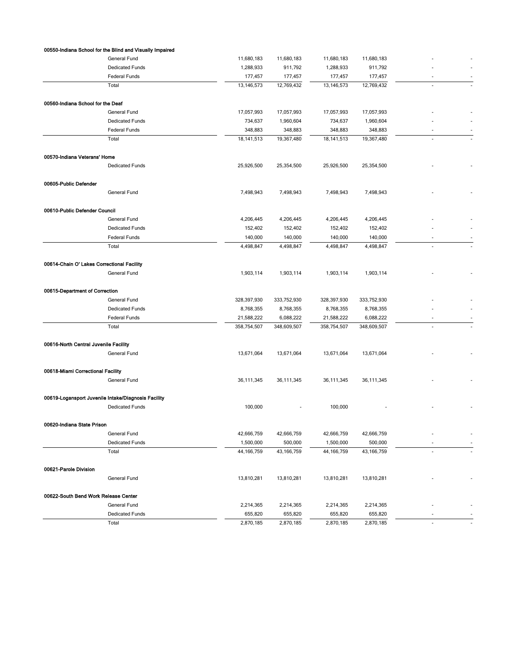|                                            | 00550-Indiana School for the Blind and Visually Impaired |              |             |              |              |        |  |
|--------------------------------------------|----------------------------------------------------------|--------------|-------------|--------------|--------------|--------|--|
|                                            | General Fund                                             | 11,680,183   | 11,680,183  | 11,680,183   | 11,680,183   |        |  |
|                                            | <b>Dedicated Funds</b>                                   | 1,288,933    | 911,792     | 1,288,933    | 911,792      |        |  |
|                                            | Federal Funds                                            | 177,457      | 177,457     | 177,457      | 177,457      | ٠      |  |
|                                            | Total                                                    | 13,146,573   | 12,769,432  | 13, 146, 573 | 12,769,432   | ÷.     |  |
| 00560-Indiana School for the Deaf          |                                                          |              |             |              |              |        |  |
|                                            | General Fund                                             | 17,057,993   | 17,057,993  | 17,057,993   | 17,057,993   |        |  |
|                                            | <b>Dedicated Funds</b>                                   | 734,637      | 1,960,604   | 734,637      | 1,960,604    |        |  |
|                                            | <b>Federal Funds</b>                                     | 348,883      | 348,883     | 348,883      | 348,883      |        |  |
|                                            | Total                                                    | 18, 141, 513 | 19,367,480  | 18, 141, 513 | 19,367,480   | ÷,     |  |
| 00570-Indiana Veterans' Home               |                                                          |              |             |              |              |        |  |
|                                            | Dedicated Funds                                          | 25,926,500   | 25,354,500  | 25,926,500   | 25,354,500   |        |  |
| 00605-Public Defender                      |                                                          |              |             |              |              |        |  |
|                                            | General Fund                                             | 7,498,943    | 7,498,943   | 7,498,943    | 7,498,943    |        |  |
|                                            |                                                          |              |             |              |              |        |  |
| 00610-Public Defender Council              | General Fund                                             | 4,206,445    | 4,206,445   | 4,206,445    | 4,206,445    |        |  |
|                                            | <b>Dedicated Funds</b>                                   | 152,402      | 152,402     | 152,402      | 152,402      |        |  |
|                                            | Federal Funds                                            | 140,000      | 140,000     | 140,000      | 140,000      | ٠      |  |
|                                            | Total                                                    | 4,498,847    | 4,498,847   | 4,498,847    | 4,498,847    | ÷.     |  |
| 00614-Chain O' Lakes Correctional Facility |                                                          |              |             |              |              |        |  |
|                                            | General Fund                                             | 1,903,114    | 1,903,114   | 1,903,114    | 1,903,114    |        |  |
|                                            |                                                          |              |             |              |              |        |  |
| 00615-Department of Correction             |                                                          |              |             |              |              |        |  |
|                                            | General Fund                                             | 328,397,930  | 333,752,930 | 328,397,930  | 333,752,930  |        |  |
|                                            | <b>Dedicated Funds</b>                                   | 8,768,355    | 8,768,355   | 8,768,355    | 8,768,355    |        |  |
|                                            | Federal Funds                                            | 21,588,222   | 6,088,222   | 21,588,222   | 6,088,222    |        |  |
|                                            | Total                                                    | 358,754,507  | 348,609,507 | 358,754,507  | 348,609,507  | $\sim$ |  |
| 00616-North Central Juvenile Facility      |                                                          |              |             |              |              |        |  |
|                                            | General Fund                                             | 13,671,064   | 13,671,064  | 13,671,064   | 13,671,064   |        |  |
| 00618-Miami Correctional Facility          |                                                          |              |             |              |              |        |  |
|                                            | General Fund                                             | 36,111,345   | 36,111,345  | 36,111,345   | 36, 111, 345 |        |  |
|                                            | 00619-Logansport Juvenile Intake/Diagnosis Facility      |              |             |              |              |        |  |
|                                            | <b>Dedicated Funds</b>                                   | 100,000      |             | 100,000      |              |        |  |
| 00620-Indiana State Prison                 |                                                          |              |             |              |              |        |  |
|                                            | General Fund                                             | 42,666,759   | 42,666,759  | 42,666,759   | 42,666,759   |        |  |
|                                            | <b>Dedicated Funds</b>                                   | 1,500,000    | 500,000     | 1,500,000    | 500,000      | ٠      |  |
|                                            | Total                                                    | 44, 166, 759 | 43,166,759  | 44, 166, 759 | 43, 166, 759 |        |  |
| 00621-Parole Division                      |                                                          |              |             |              |              |        |  |
|                                            | General Fund                                             | 13,810,281   | 13,810,281  | 13,810,281   | 13,810,281   |        |  |
| 00622-South Bend Work Release Center       |                                                          |              |             |              |              |        |  |
|                                            | General Fund                                             | 2,214,365    | 2,214,365   | 2,214,365    | 2,214,365    |        |  |
|                                            | Dedicated Funds                                          | 655,820      | 655,820     | 655,820      | 655,820      |        |  |
|                                            | Total                                                    | 2,870,185    | 2,870,185   | 2,870,185    | 2,870,185    |        |  |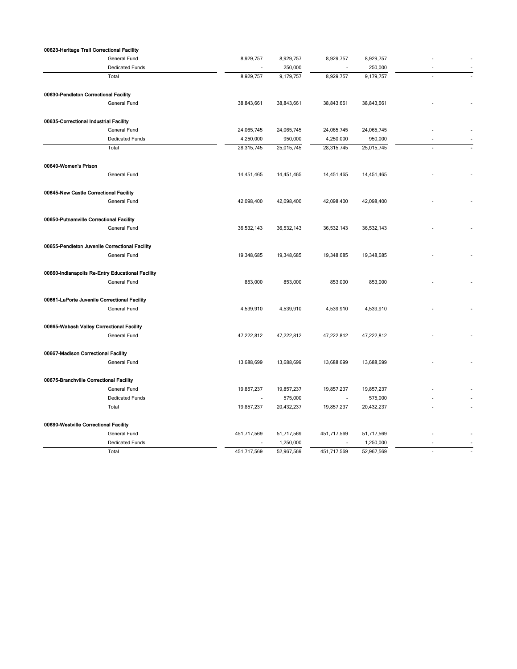| 00623-Heritage Trail Correctional Facility       |                        |                |            |                          |            |                          |
|--------------------------------------------------|------------------------|----------------|------------|--------------------------|------------|--------------------------|
|                                                  | General Fund           | 8,929,757      | 8,929,757  | 8,929,757                | 8,929,757  |                          |
|                                                  | <b>Dedicated Funds</b> | $\blacksquare$ | 250,000    | $\overline{\phantom{a}}$ | 250,000    | $\overline{a}$           |
|                                                  | Total                  | 8,929,757      | 9,179,757  | 8,929,757                | 9,179,757  |                          |
| 00630-Pendleton Correctional Facility            |                        |                |            |                          |            |                          |
|                                                  | General Fund           | 38,843,661     | 38,843,661 | 38,843,661               | 38,843,661 |                          |
| 00635-Correctional Industrial Facility           |                        |                |            |                          |            |                          |
|                                                  | <b>General Fund</b>    | 24,065,745     | 24,065,745 | 24,065,745               | 24,065,745 |                          |
|                                                  | <b>Dedicated Funds</b> | 4,250,000      | 950,000    | 4,250,000                | 950,000    | ٠                        |
|                                                  | Total                  | 28,315,745     | 25,015,745 | 28,315,745               | 25,015,745 |                          |
| 00640-Women's Prison                             |                        |                |            |                          |            |                          |
|                                                  | General Fund           | 14,451,465     | 14,451,465 | 14,451,465               | 14,451,465 |                          |
| 00645-New Castle Correctional Facility           |                        |                |            |                          |            |                          |
|                                                  | General Fund           | 42,098,400     | 42,098,400 | 42,098,400               | 42,098,400 |                          |
| 00650-Putnamville Correctional Facility          |                        |                |            |                          |            |                          |
|                                                  | General Fund           | 36,532,143     | 36,532,143 | 36,532,143               | 36,532,143 |                          |
| 00655-Pendleton Juvenile Correctional Facility   |                        |                |            |                          |            |                          |
|                                                  | <b>General Fund</b>    | 19,348,685     | 19,348,685 | 19,348,685               | 19,348,685 |                          |
| 00660-Indianapolis Re-Entry Educational Facility |                        |                |            |                          |            |                          |
|                                                  | General Fund           | 853,000        | 853,000    | 853,000                  | 853,000    |                          |
| 00661-LaPorte Juvenile Correctional Facility     |                        |                |            |                          |            |                          |
|                                                  | General Fund           | 4,539,910      | 4,539,910  | 4,539,910                | 4,539,910  |                          |
| 00665-Wabash Valley Correctional Facility        |                        |                |            |                          |            |                          |
|                                                  | General Fund           | 47,222,812     | 47,222,812 | 47,222,812               | 47,222,812 |                          |
| 00667-Madison Correctional Facility              |                        |                |            |                          |            |                          |
|                                                  | General Fund           | 13,688,699     | 13,688,699 | 13,688,699               | 13,688,699 |                          |
| 00675-Branchville Correctional Facility          |                        |                |            |                          |            |                          |
|                                                  | General Fund           | 19,857,237     | 19,857,237 | 19,857,237               | 19,857,237 |                          |
|                                                  | <b>Dedicated Funds</b> |                | 575,000    |                          | 575,000    |                          |
|                                                  | Total                  | 19,857,237     | 20,432,237 | 19,857,237               | 20,432,237 | ä,                       |
| 00680-Westville Correctional Facility            |                        |                |            |                          |            |                          |
|                                                  | General Fund           | 451,717,569    | 51,717,569 | 451,717,569              | 51,717,569 |                          |
|                                                  | <b>Dedicated Funds</b> |                | 1,250,000  |                          | 1,250,000  |                          |
|                                                  | Total                  | 451.717.569    | 52.967.569 | 451.717.569              | 52.967.569 | $\overline{\phantom{a}}$ |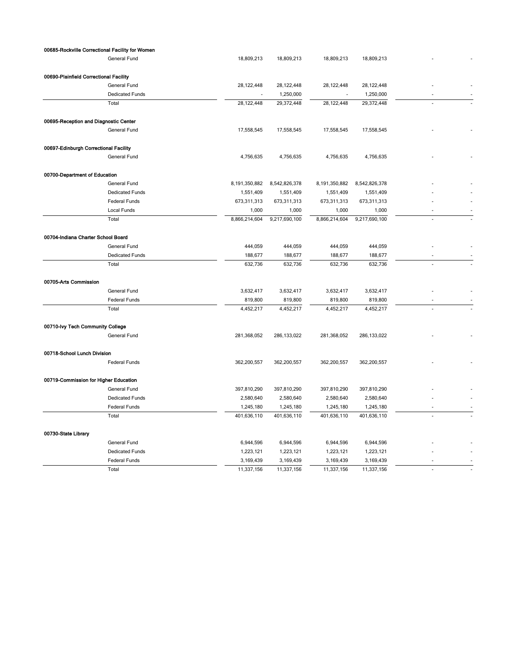| 00685-Rockville Correctional Facility for Women |                        |               |               |               |               |                          |  |
|-------------------------------------------------|------------------------|---------------|---------------|---------------|---------------|--------------------------|--|
|                                                 | <b>General Fund</b>    | 18,809,213    | 18,809,213    | 18,809,213    | 18,809,213    |                          |  |
| 00690-Plainfield Correctional Facility          |                        |               |               |               |               |                          |  |
|                                                 | General Fund           | 28,122,448    | 28,122,448    | 28, 122, 448  | 28, 122, 448  |                          |  |
|                                                 | <b>Dedicated Funds</b> |               | 1,250,000     |               | 1,250,000     |                          |  |
|                                                 | Total                  | 28,122,448    | 29,372,448    | 28, 122, 448  | 29,372,448    |                          |  |
|                                                 |                        |               |               |               |               |                          |  |
| 00695-Reception and Diagnostic Center           |                        |               |               |               |               |                          |  |
|                                                 | General Fund           | 17,558,545    | 17,558,545    | 17,558,545    | 17,558,545    |                          |  |
| 00697-Edinburgh Correctional Facility           |                        |               |               |               |               |                          |  |
|                                                 | General Fund           | 4,756,635     | 4,756,635     | 4,756,635     | 4,756,635     |                          |  |
| 00700-Department of Education                   |                        |               |               |               |               |                          |  |
|                                                 | General Fund           | 8,191,350,882 | 8,542,826,378 | 8,191,350,882 | 8,542,826,378 |                          |  |
|                                                 | <b>Dedicated Funds</b> | 1,551,409     | 1,551,409     | 1,551,409     | 1,551,409     |                          |  |
|                                                 | Federal Funds          | 673,311,313   | 673,311,313   | 673,311,313   | 673,311,313   |                          |  |
|                                                 | Local Funds            | 1,000         | 1,000         | 1,000         | 1,000         | ٠                        |  |
|                                                 | Total                  | 8,866,214,604 | 9,217,690,100 | 8,866,214,604 | 9,217,690,100 | J.                       |  |
|                                                 |                        |               |               |               |               |                          |  |
| 00704-Indiana Charter School Board              |                        |               |               |               |               |                          |  |
|                                                 | General Fund           | 444,059       | 444,059       | 444,059       | 444,059       |                          |  |
|                                                 | <b>Dedicated Funds</b> | 188,677       | 188,677       | 188,677       | 188,677       |                          |  |
|                                                 | Total                  | 632,736       | 632,736       | 632,736       | 632,736       |                          |  |
| 00705-Arts Commission                           |                        |               |               |               |               |                          |  |
|                                                 | General Fund           | 3,632,417     | 3,632,417     | 3,632,417     | 3,632,417     |                          |  |
|                                                 | Federal Funds          | 819,800       | 819,800       | 819,800       | 819,800       |                          |  |
|                                                 | Total                  | 4,452,217     | 4,452,217     | 4,452,217     | 4,452,217     |                          |  |
| 00710-lvy Tech Community College                |                        |               |               |               |               |                          |  |
|                                                 | General Fund           | 281,368,052   | 286,133,022   | 281,368,052   | 286, 133, 022 |                          |  |
|                                                 |                        |               |               |               |               |                          |  |
| 00718-School Lunch Division                     |                        |               |               |               |               |                          |  |
|                                                 | <b>Federal Funds</b>   | 362,200,557   | 362,200,557   | 362,200,557   | 362,200,557   |                          |  |
| 00719-Commission for Higher Education           |                        |               |               |               |               |                          |  |
|                                                 | General Fund           | 397,810,290   | 397,810,290   | 397,810,290   | 397,810,290   |                          |  |
|                                                 | <b>Dedicated Funds</b> | 2,580,640     | 2,580,640     | 2,580,640     | 2,580,640     |                          |  |
|                                                 | Federal Funds          | 1,245,180     | 1,245,180     | 1,245,180     | 1,245,180     | $\overline{\phantom{a}}$ |  |
|                                                 | Total                  | 401,636,110   | 401,636,110   | 401,636,110   | 401,636,110   | J.                       |  |
| 00730-State Library                             |                        |               |               |               |               |                          |  |
|                                                 | General Fund           | 6,944,596     | 6,944,596     | 6,944,596     | 6,944,596     |                          |  |
|                                                 | <b>Dedicated Funds</b> | 1,223,121     | 1,223,121     | 1,223,121     | 1,223,121     |                          |  |
|                                                 | <b>Federal Funds</b>   | 3,169,439     | 3,169,439     | 3,169,439     | 3,169,439     |                          |  |
|                                                 | Total                  | 11,337,156    | 11,337,156    | 11,337,156    | 11,337,156    |                          |  |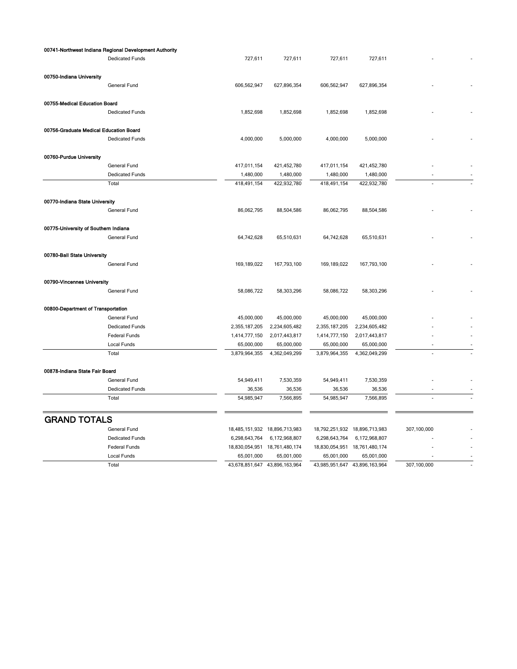|                                        | 00741-Northwest Indiana Regional Development Authority |               |                               |                               |               |             |
|----------------------------------------|--------------------------------------------------------|---------------|-------------------------------|-------------------------------|---------------|-------------|
|                                        | <b>Dedicated Funds</b>                                 | 727,611       | 727,611                       | 727,611                       | 727,611       |             |
| 00750-Indiana University               |                                                        |               |                               |                               |               |             |
|                                        | General Fund                                           | 606,562,947   | 627,896,354                   | 606,562,947                   | 627,896,354   |             |
| 00755-Medical Education Board          |                                                        |               |                               |                               |               |             |
|                                        | <b>Dedicated Funds</b>                                 | 1,852,698     | 1,852,698                     | 1,852,698                     | 1,852,698     |             |
| 00756-Graduate Medical Education Board |                                                        |               |                               |                               |               |             |
|                                        | <b>Dedicated Funds</b>                                 | 4,000,000     | 5,000,000                     | 4,000,000                     | 5,000,000     |             |
| 00760-Purdue University                |                                                        |               |                               |                               |               |             |
|                                        | General Fund                                           | 417,011,154   | 421,452,780                   | 417,011,154                   | 421,452,780   |             |
|                                        | <b>Dedicated Funds</b>                                 | 1,480,000     | 1,480,000                     | 1,480,000                     | 1,480,000     |             |
|                                        | Total                                                  | 418,491,154   | 422,932,780                   | 418,491,154                   | 422,932,780   |             |
| 00770-Indiana State University         |                                                        |               |                               |                               |               |             |
|                                        | General Fund                                           | 86,062,795    | 88,504,586                    | 86,062,795                    | 88,504,586    |             |
| 00775-University of Southern Indiana   |                                                        |               |                               |                               |               |             |
|                                        | General Fund                                           | 64,742,628    | 65,510,631                    | 64,742,628                    | 65,510,631    |             |
| 00780-Ball State University            |                                                        |               |                               |                               |               |             |
|                                        | General Fund                                           | 169,189,022   | 167,793,100                   | 169,189,022                   | 167,793,100   |             |
| 00790-Vincennes University             |                                                        |               |                               |                               |               |             |
|                                        | General Fund                                           | 58,086,722    | 58,303,296                    | 58,086,722                    | 58,303,296    |             |
| 00800-Department of Transportation     |                                                        |               |                               |                               |               |             |
|                                        | General Fund                                           | 45,000,000    | 45,000,000                    | 45,000,000                    | 45,000,000    |             |
|                                        | <b>Dedicated Funds</b>                                 | 2,355,187,205 | 2,234,605,482                 | 2,355,187,205                 | 2,234,605,482 |             |
|                                        | Federal Funds                                          | 1,414,777,150 | 2,017,443,817                 | 1,414,777,150                 | 2,017,443,817 |             |
|                                        | Local Funds                                            | 65,000,000    | 65,000,000                    | 65,000,000                    | 65,000,000    |             |
|                                        | Total                                                  | 3,879,964,355 | 4,362,049,299                 | 3,879,964,355                 | 4,362,049,299 |             |
| 00878-Indiana State Fair Board         |                                                        |               |                               |                               |               |             |
|                                        | General Fund                                           | 54,949,411    | 7,530,359                     | 54,949,411                    | 7,530,359     |             |
|                                        | <b>Dedicated Funds</b>                                 | 36,536        | 36,536                        | 36,536                        | 36,536        |             |
|                                        | Total                                                  | 54,985,947    | 7,566,895                     | 54,985,947                    | 7,566,895     |             |
| <b>GRAND TOTALS</b>                    |                                                        |               |                               |                               |               |             |
|                                        |                                                        |               |                               |                               |               |             |
|                                        | General Fund                                           |               | 18,485,151,932 18,896,713,983 | 18,792,251,932 18,896,713,983 |               | 307,100,000 |
|                                        | <b>Dedicated Funds</b>                                 | 6,298,643,764 | 6,172,968,807                 | 6,298,643,764                 | 6,172,968,807 |             |
|                                        | Federal Funds                                          |               | 18,830,054,951 18,761,480,174 | 18,830,054,951 18,761,480,174 |               |             |
|                                        | Local Funds                                            | 65,001,000    | 65,001,000                    | 65,001,000                    | 65,001,000    |             |
|                                        | Total                                                  |               | 43,678,851,647 43,896,163,964 | 43,985,951,647 43,896,163,964 |               | 307,100,000 |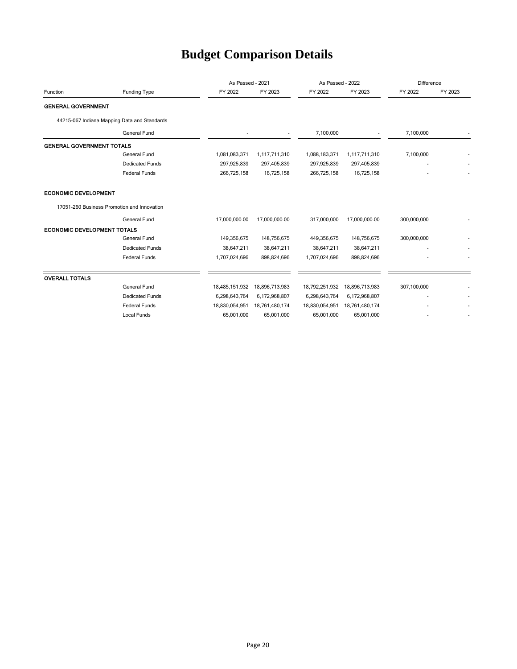# **Budget Comparison Details**

|                                    |                                              |                | As Passed - 2021 |                | As Passed - 2022 |             | Difference |  |
|------------------------------------|----------------------------------------------|----------------|------------------|----------------|------------------|-------------|------------|--|
| Function                           | Funding Type                                 | FY 2022        | FY 2023          | FY 2022        | FY 2023          | FY 2022     | FY 2023    |  |
| <b>GENERAL GOVERNMENT</b>          |                                              |                |                  |                |                  |             |            |  |
|                                    | 44215-067 Indiana Mapping Data and Standards |                |                  |                |                  |             |            |  |
|                                    | <b>General Fund</b>                          |                | ٠                | 7,100,000      |                  | 7,100,000   |            |  |
| <b>GENERAL GOVERNMENT TOTALS</b>   |                                              |                |                  |                |                  |             |            |  |
|                                    | <b>General Fund</b>                          | 1,081,083,371  | 1,117,711,310    | 1,088,183,371  | 1,117,711,310    | 7,100,000   |            |  |
|                                    | <b>Dedicated Funds</b>                       | 297,925,839    | 297,405,839      | 297,925,839    | 297,405,839      | ٠           |            |  |
|                                    | <b>Federal Funds</b>                         | 266,725,158    | 16,725,158       | 266,725,158    | 16,725,158       |             |            |  |
| <b>ECONOMIC DEVELOPMENT</b>        |                                              |                |                  |                |                  |             |            |  |
|                                    | 17051-260 Business Promotion and Innovation  |                |                  |                |                  |             |            |  |
|                                    | <b>General Fund</b>                          | 17,000,000.00  | 17,000,000.00    | 317,000,000    | 17,000,000.00    | 300,000,000 |            |  |
| <b>ECONOMIC DEVELOPMENT TOTALS</b> |                                              |                |                  |                |                  |             |            |  |
|                                    | <b>General Fund</b>                          | 149,356,675    | 148,756,675      | 449,356,675    | 148,756,675      | 300,000,000 |            |  |
|                                    | <b>Dedicated Funds</b>                       | 38,647,211     | 38,647,211       | 38,647,211     | 38,647,211       |             |            |  |
|                                    | <b>Federal Funds</b>                         | 1,707,024,696  | 898,824,696      | 1,707,024,696  | 898,824,696      |             |            |  |
| <b>OVERALL TOTALS</b>              |                                              |                |                  |                |                  |             |            |  |
|                                    | <b>General Fund</b>                          | 18,485,151,932 | 18,896,713,983   | 18,792,251,932 | 18,896,713,983   | 307,100,000 |            |  |
|                                    | <b>Dedicated Funds</b>                       | 6,298,643,764  | 6,172,968,807    | 6,298,643,764  | 6,172,968,807    |             |            |  |
|                                    | <b>Federal Funds</b>                         | 18,830,054,951 | 18,761,480,174   | 18,830,054,951 | 18,761,480,174   |             |            |  |
|                                    | <b>Local Funds</b>                           | 65,001,000     | 65,001,000       | 65,001,000     | 65,001,000       |             |            |  |
|                                    |                                              |                |                  |                |                  |             |            |  |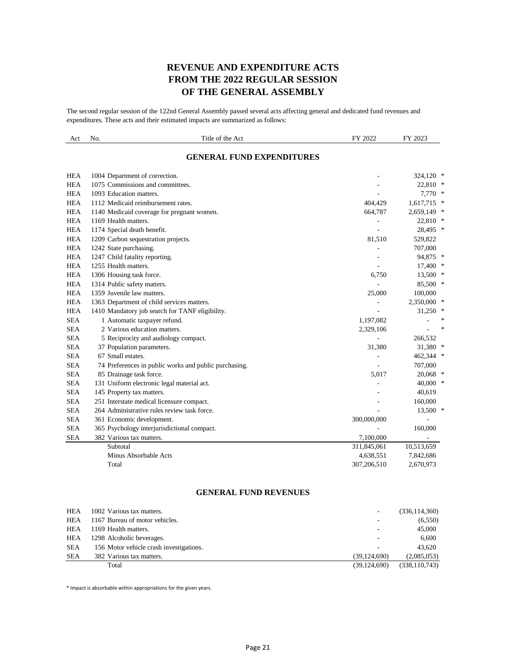#### **REVENUE AND EXPENDITURE ACTS FROM THE 2022 REGULAR SESSION OF THE GENERAL ASSEMBLY**

The second regular session of the 122nd General Assembly passed several acts affecting general and dedicated fund revenues and expenditures. These acts and their estimated impacts are summarized as follows:

| Act        | No. | Title of the Act                                      | FY 2022     | FY 2023       |
|------------|-----|-------------------------------------------------------|-------------|---------------|
|            |     | <b>GENERAL FUND EXPENDITURES</b>                      |             |               |
| <b>HEA</b> |     | 1004 Department of correction.                        |             | 324,120 *     |
| <b>HEA</b> |     | 1075 Commissions and committees.                      |             | 22,810 *      |
| <b>HEA</b> |     | 1093 Education matters.                               |             | $7,770$ *     |
| <b>HEA</b> |     | 1112 Medicaid reimbursement rates.                    | 404,429     | $1,617,715$ * |
| <b>HEA</b> |     | 1140 Medicaid coverage for pregnant women.            | 664,787     | $2,659,149$ * |
| <b>HEA</b> |     | 1169 Health matters.                                  |             | 22,810 *      |
| <b>HEA</b> |     | 1174 Special death benefit.                           |             | 28,495 *      |
| <b>HEA</b> |     | 1209 Carbon sequestration projects.                   | 81,510      | 529,822       |
| <b>HEA</b> |     | 1242 State purchasing.                                |             | 707,000       |
| <b>HEA</b> |     | 1247 Child fatality reporting.                        |             | 94,875 *      |
| <b>HEA</b> |     | 1255 Health matters.                                  |             | $17,400$ *    |
| <b>HEA</b> |     | 1306 Housing task force.                              | 6,750       | $13,500$ *    |
| <b>HEA</b> |     | 1314 Public safety matters.                           |             | 85,500 *      |
| <b>HEA</b> |     | 1359 Juvenile law matters.                            | 25,000      | 100,000       |
| <b>HEA</b> |     | 1363 Department of child services matters.            |             | 2,350,000 *   |
| <b>HEA</b> |     | 1410 Mandatory job search for TANF eligibility.       |             | $31,250$ *    |
| <b>SEA</b> |     | 1 Automatic taxpayer refund.                          | 1,197,082   | $\ast$        |
| <b>SEA</b> |     | 2 Various education matters.                          | 2,329,106   | ∗             |
| <b>SEA</b> |     | 5 Reciprocity and audiology compact.                  |             | 266,532       |
| <b>SEA</b> |     | 37 Population parameters.                             | 31,380      | 31,380 *      |
| <b>SEA</b> |     | 67 Small estates.                                     |             | 462,344 *     |
| <b>SEA</b> |     | 74 Preferences in public works and public purchasing. |             | 707,000       |
| <b>SEA</b> |     | 85 Drainage task force.                               | 5,017       | $20,068$ *    |
| <b>SEA</b> |     | 131 Uniform electronic legal material act.            |             | 40,000 *      |
| <b>SEA</b> |     | 145 Property tax matters.                             |             | 40,619        |
| <b>SEA</b> |     | 251 Interstate medical licensure compact.             |             | 160,000       |
| <b>SEA</b> |     | 264 Administrative rules review task force.           |             | 13,500 *      |
| <b>SEA</b> |     | 361 Economic development.                             | 300,000,000 |               |
| <b>SEA</b> |     | 365 Psychology interjurisdictional compact.           |             | 160,000       |
| <b>SEA</b> |     | 382 Various tax matters.                              | 7,100,000   |               |
|            |     | Subtotal                                              | 311,845,061 | 10,513,659    |
|            |     | Minus Absorbable Acts                                 | 4,638,551   | 7,842,686     |
|            |     | Total                                                 | 307,206,510 | 2,670,973     |

#### **GENERAL FUND REVENUES**

| HEA        | 1002 Various tax matters.               | ٠              | (336, 114, 360) |
|------------|-----------------------------------------|----------------|-----------------|
| HEA        | 1167 Bureau of motor vehicles.          | ٠              | (6, 550)        |
| HEA        | 1169 Health matters.                    | ٠              | 45,000          |
| HEA        | 1298 Alcoholic beverages.               | ٠              | 6.600           |
| <b>SEA</b> | 156 Motor vehicle crash investigations. | ۰              | 43.620          |
| SEA        | 382 Various tax matters.                | (39, 124, 690) | (2,085,053)     |
|            | Total                                   | (39, 124, 690) | (338, 110, 743) |

\* Impact is absorbable within appropriations for the given years.